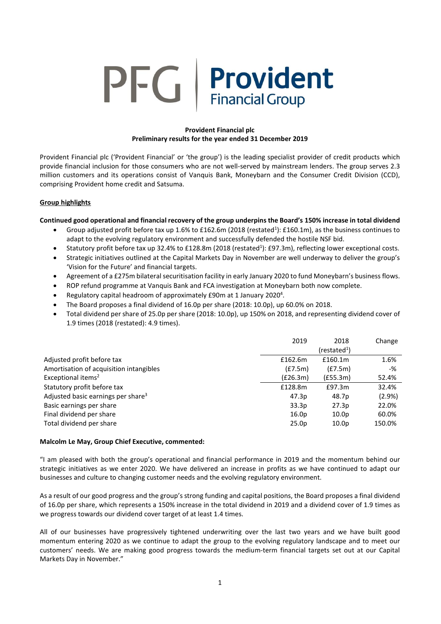# **PFG** Provident **Financial Group**

# **Provident Financial plc Preliminary results for the year ended 31 December 2019**

Provident Financial plc ('Provident Financial' or 'the group') is the leading specialist provider of credit products which provide financial inclusion for those consumers who are not well-served by mainstream lenders. The group serves 2.3 million customers and its operations consist of Vanquis Bank, Moneybarn and the Consumer Credit Division (CCD), comprising Provident home credit and Satsuma.

# **Group highlights**

# **Continued good operational and financial recovery of the group underpins the Board's 150% increase in total dividend**

- Group adjusted profit before tax up 1.6% to £162.6m (2018 (restated<sup>1</sup>): £160.1m), as the business continues to adapt to the evolving regulatory environment and successfully defended the hostile NSF bid.
- Statutory profit before tax up 32.4% to £128.8m (2018 (restated<sup>1</sup>): £97.3m), reflecting lower exceptional costs.
- Strategic initiatives outlined at the Capital Markets Day in November are well underway to deliver the group's 'Vision for the Future' and financial targets.
- Agreement of a £275m bilateral securitisation facility in early January 2020 to fund Moneybarn's business flows.
- ROP refund programme at Vanquis Bank and FCA investigation at Moneybarn both now complete.
- Regulatory capital headroom of approximately £90m at 1 January 2020<sup>4</sup>.
- The Board proposes a final dividend of 16.0p per share (2018: 10.0p), up 60.0% on 2018.
- Total dividend per share of 25.0p per share (2018: 10.0p), up 150% on 2018, and representing dividend cover of 1.9 times (2018 (restated): 4.9 times).

|                                                | 2019              | 2018                   | Change |
|------------------------------------------------|-------------------|------------------------|--------|
|                                                |                   | (rested <sup>1</sup> ) |        |
| Adjusted profit before tax                     | £162.6m           | £160.1m                | 1.6%   |
| Amortisation of acquisition intangibles        | (E7.5m)           | (E7.5m)                | -%     |
| Exceptional items <sup>2</sup>                 | (E26.3m)          | (£55.3m)               | 52.4%  |
| Statutory profit before tax                    | £128.8m           | £97.3m                 | 32.4%  |
| Adjusted basic earnings per share <sup>3</sup> | 47.3p             | 48.7p                  | (2.9%) |
| Basic earnings per share                       | 33.3p             | 27.3p                  | 22.0%  |
| Final dividend per share                       | 16.0 <sub>p</sub> | 10.0 <sub>p</sub>      | 60.0%  |
| Total dividend per share                       | 25.0 <sub>p</sub> | 10.0 <sub>p</sub>      | 150.0% |

## **Malcolm Le May, Group Chief Executive, commented:**

"I am pleased with both the group's operational and financial performance in 2019 and the momentum behind our strategic initiatives as we enter 2020. We have delivered an increase in profits as we have continued to adapt our businesses and culture to changing customer needs and the evolving regulatory environment.

As a result of our good progress and the group's strong funding and capital positions, the Board proposes a final dividend of 16.0p per share, which represents a 150% increase in the total dividend in 2019 and a dividend cover of 1.9 times as we progress towards our dividend cover target of at least 1.4 times.

All of our businesses have progressively tightened underwriting over the last two years and we have built good momentum entering 2020 as we continue to adapt the group to the evolving regulatory landscape and to meet our customers' needs. We are making good progress towards the medium-term financial targets set out at our Capital Markets Day in November."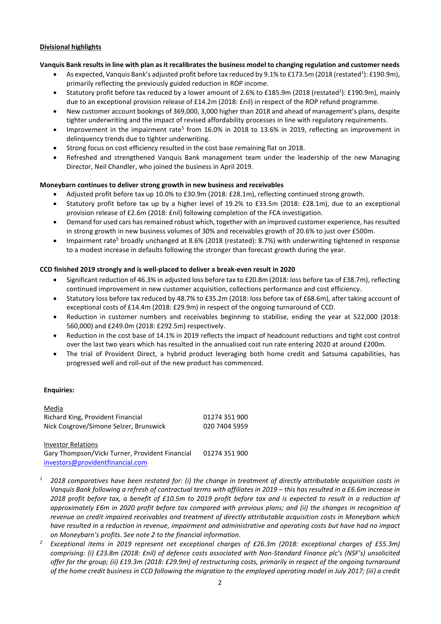#### **Divisional highlights**

## **Vanquis Bank results in line with plan as it recalibrates the business model to changing regulation and customer needs**

- As expected, Vanquis Bank's adjusted profit before tax reduced by 9.1% to £173.5m (2018 (restated<sup>1</sup>): £190.9m), primarily reflecting the previously guided reduction in ROP income.
- Statutory profit before tax reduced by a lower amount of 2.6% to £185.9m (2018 (restated<sup>1</sup>): £190.9m), mainly due to an exceptional provision release of £14.2m (2018: £nil) in respect of the ROP refund programme.
- New customer account bookings of 369,000, 3,000 higher than 2018 and ahead of management's plans, despite tighter underwriting and the impact of revised affordability processes in line with regulatory requirements.
- Improvement in the impairment rate<sup>5</sup> from 16.0% in 2018 to 13.6% in 2019, reflecting an improvement in delinquency trends due to tighter underwriting.
- Strong focus on cost efficiency resulted in the cost base remaining flat on 2018.
- Refreshed and strengthened Vanquis Bank management team under the leadership of the new Managing Director, Neil Chandler, who joined the business in April 2019.

## **Moneybarn continues to deliver strong growth in new business and receivables**

- Adjusted profit before tax up 10.0% to £30.9m (2018: £28.1m), reflecting continued strong growth.
- Statutory profit before tax up by a higher level of 19.2% to £33.5m (2018: £28.1m), due to an exceptional provision release of £2.6m (2018: £nil) following completion of the FCA investigation.
- Demand for used cars has remained robust which, together with an improved customer experience, hasresulted in strong growth in new business volumes of 30% and receivables growth of 20.6% to just over £500m.
- Impairment rate<sup>5</sup> broadly unchanged at 8.6% (2018 (restated): 8.7%) with underwriting tightened in response to a modest increase in defaults following the stronger than forecast growth during the year.

#### **CCD finished 2019 strongly and is well-placed to deliver a break-even result in 2020**

- Significant reduction of 46.3% in adjusted loss before tax to £20.8m (2018: loss before tax of £38.7m), reflecting continued improvement in new customer acquisition, collections performance and cost efficiency.
- Statutory loss before tax reduced by 48.7% to £35.2m (2018: loss before tax of £68.6m), after taking account of exceptional costs of £14.4m (2018: £29.9m) in respect of the ongoing turnaround of CCD.
- Reduction in customer numbers and receivables beginning to stabilise, ending the year at 522,000 (2018: 560,000) and £249.0m (2018: £292.5m) respectively.
- Reduction in the cost base of 14.1% in 2019 reflects the impact of headcount reductions and tight cost control over the last two years which has resulted in the annualised cost run rate entering 2020 at around £200m.
- The trial of Provident Direct, a hybrid product leveraging both home credit and Satsuma capabilities, has progressed well and roll-out of the new product has commenced.

## **Enquiries:**

| Media                                  |               |
|----------------------------------------|---------------|
| Richard King, Provident Financial      | 01274 351 900 |
| Nick Cosgrove/Simone Selzer, Brunswick | 020 7404 5959 |

Investor Relations Gary Thompson/Vicki Turner, Provident Financial [investors@providentfinancial.com](mailto:investors@providentfinancial.com) 01274 351 900

- *<sup>1</sup> 2018 comparatives have been restated for: (i) the change in treatment of directly attributable acquisition costs in Vanquis Bank following a refresh of contractual terms with affiliates in 2019 – this has resulted in a £6.6m increase in 2018 profit before tax, a benefit of £10.5m to 2019 profit before tax and is expected to result in a reduction of approximately £6m in 2020 profit before tax compared with previous plans; and (ii) the changes in recognition of revenue on credit impaired receivables and treatment of directly attributable acquisition costs in Moneybarn which have resulted in a reduction in revenue, impairment and administrative and operating costs but have had no impact on Moneybarn's profits. See note 2 to the financial information.*
- *<sup>2</sup> Exceptional items in 2019 represent net exceptional charges of £26.3m (2018: exceptional charges of £55.3m) comprising: (i) £23.8m (2018: £nil) of defence costs associated with Non-Standard Finance plc's (NSF's) unsolicited offer for the group; (ii) £19.3m (2018: £29.9m) of restructuring costs, primarily in respect of the ongoing turnaround of the home credit business in CCD following the migration to the employed operating model in July 2017; (iii) a credit*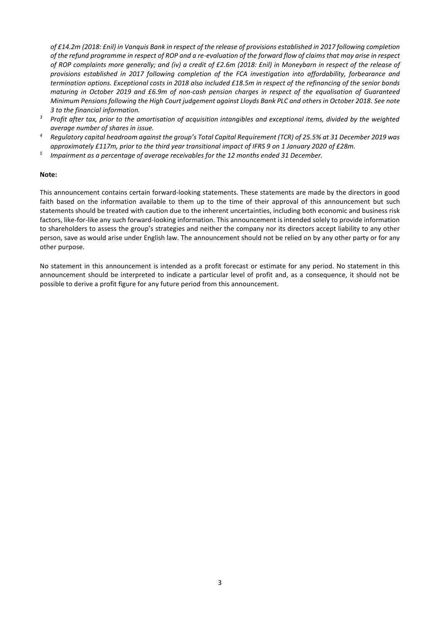*of £14.2m (2018: £nil) in Vanquis Bank in respect of the release of provisions established in 2017 following completion of the refund programme in respect of ROP and a re-evaluation of the forward flow of claims that may arise in respect of ROP complaints more generally; and (iv) a credit of £2.6m (2018: £nil) in Moneybarn in respect of the release of provisions established in 2017 following completion of the FCA investigation into affordability, forbearance and termination options. Exceptional costs in 2018 also included £18.5m in respect of the refinancing of the senior bonds maturing in October 2019 and £6.9m of non-cash pension charges in respect of the equalisation of Guaranteed Minimum Pensions following the High Court judgement against Lloyds Bank PLC and others in October 2018. See note 3 to the financial information.*

- <sup>3</sup> Profit after tax, prior to the amortisation of acquisition intangibles and exceptional items, divided by the weighted *average number of shares in issue.*
- *<sup>4</sup> Regulatory capital headroom against the group's Total Capital Requirement (TCR) of 25.5% at 31 December 2019 was approximately £117m, prior to the third year transitional impact of IFRS 9 on 1 January 2020 of £28m.*
- *5 Impairment as a percentage of average receivables for the 12 months ended 31 December.*

#### **Note:**

This announcement contains certain forward-looking statements. These statements are made by the directors in good faith based on the information available to them up to the time of their approval of this announcement but such statements should be treated with caution due to the inherent uncertainties, including both economic and business risk factors, like-for-like any such forward-looking information. This announcement is intended solely to provide information to shareholders to assess the group's strategies and neither the company nor its directors accept liability to any other person, save as would arise under English law. The announcement should not be relied on by any other party or for any other purpose.

No statement in this announcement is intended as a profit forecast or estimate for any period. No statement in this announcement should be interpreted to indicate a particular level of profit and, as a consequence, it should not be possible to derive a profit figure for any future period from this announcement.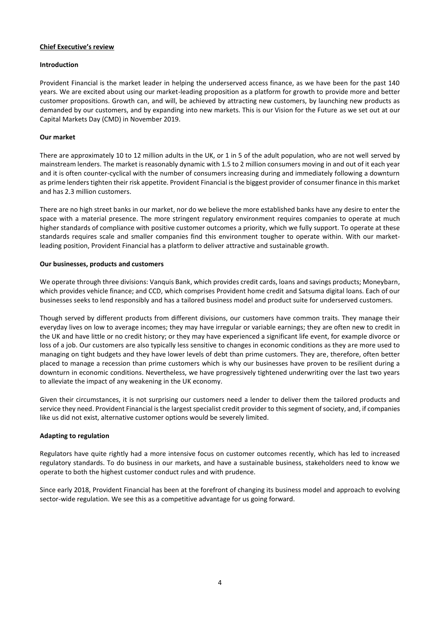#### **Chief Executive's review**

#### **Introduction**

Provident Financial is the market leader in helping the underserved access finance, as we have been for the past 140 years. We are excited about using our market-leading proposition as a platform for growth to provide more and better customer propositions. Growth can, and will, be achieved by attracting new customers, by launching new products as demanded by our customers, and by expanding into new markets. This is our Vision for the Future as we set out at our Capital Markets Day (CMD) in November 2019.

#### **Our market**

There are approximately 10 to 12 million adults in the UK, or 1 in 5 of the adult population, who are not well served by mainstream lenders. The market is reasonably dynamic with 1.5 to 2 million consumers moving in and out of it each year and it is often counter-cyclical with the number of consumers increasing during and immediately following a downturn as prime lenders tighten their risk appetite. Provident Financial is the biggest provider of consumer finance in this market and has 2.3 million customers.

There are no high street banks in our market, nor do we believe the more established banks have any desire to enter the space with a material presence. The more stringent regulatory environment requires companies to operate at much higher standards of compliance with positive customer outcomes a priority, which we fully support. To operate at these standards requires scale and smaller companies find this environment tougher to operate within. With our marketleading position, Provident Financial has a platform to deliver attractive and sustainable growth.

#### **Our businesses, products and customers**

We operate through three divisions: Vanquis Bank, which provides credit cards, loans and savings products; Moneybarn, which provides vehicle finance; and CCD, which comprises Provident home credit and Satsuma digital loans. Each of our businesses seeks to lend responsibly and has a tailored business model and product suite for underserved customers.

Though served by different products from different divisions, our customers have common traits. They manage their everyday lives on low to average incomes; they may have irregular or variable earnings; they are often new to credit in the UK and have little or no credit history; or they may have experienced a significant life event, for example divorce or loss of a job. Our customers are also typically less sensitive to changes in economic conditions as they are more used to managing on tight budgets and they have lower levels of debt than prime customers. They are, therefore, often better placed to manage a recession than prime customers which is why our businesses have proven to be resilient during a downturn in economic conditions. Nevertheless, we have progressively tightened underwriting over the last two years to alleviate the impact of any weakening in the UK economy.

Given their circumstances, it is not surprising our customers need a lender to deliver them the tailored products and service they need. Provident Financial is the largest specialist credit provider to this segment of society, and, if companies like us did not exist, alternative customer options would be severely limited.

## **Adapting to regulation**

Regulators have quite rightly had a more intensive focus on customer outcomes recently, which has led to increased regulatory standards. To do business in our markets, and have a sustainable business, stakeholders need to know we operate to both the highest customer conduct rules and with prudence.

Since early 2018, Provident Financial has been at the forefront of changing its business model and approach to evolving sector-wide regulation. We see this as a competitive advantage for us going forward.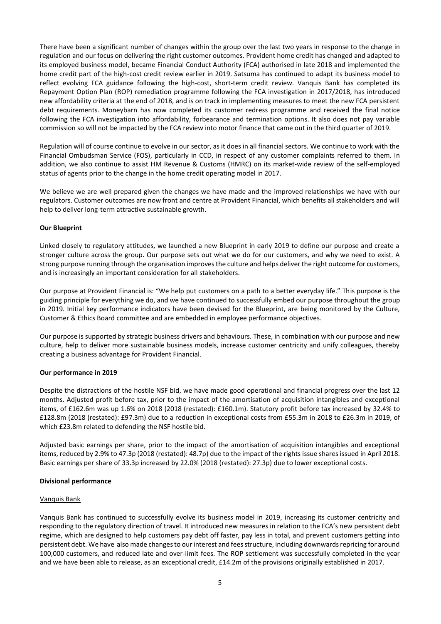There have been a significant number of changes within the group over the last two years in response to the change in regulation and our focus on delivering the right customer outcomes. Provident home credit has changed and adapted to its employed business model, became Financial Conduct Authority (FCA) authorised in late 2018 and implemented the home credit part of the high-cost credit review earlier in 2019. Satsuma has continued to adapt its business model to reflect evolving FCA guidance following the high-cost, short-term credit review. Vanquis Bank has completed its Repayment Option Plan (ROP) remediation programme following the FCA investigation in 2017/2018, has introduced new affordability criteria at the end of 2018, and is on track in implementing measures to meet the new FCA persistent debt requirements. Moneybarn has now completed its customer redress programme and received the final notice following the FCA investigation into affordability, forbearance and termination options. It also does not pay variable commission so will not be impacted by the FCA review into motor finance that came out in the third quarter of 2019.

Regulation will of course continue to evolve in our sector, as it does in all financial sectors. We continue to work with the Financial Ombudsman Service (FOS), particularly in CCD, in respect of any customer complaints referred to them. In addition, we also continue to assist HM Revenue & Customs (HMRC) on its market-wide review of the self-employed status of agents prior to the change in the home credit operating model in 2017.

We believe we are well prepared given the changes we have made and the improved relationships we have with our regulators. Customer outcomes are now front and centre at Provident Financial, which benefits all stakeholders and will help to deliver long-term attractive sustainable growth.

## **Our Blueprint**

Linked closely to regulatory attitudes, we launched a new Blueprint in early 2019 to define our purpose and create a stronger culture across the group. Our purpose sets out what we do for our customers, and why we need to exist. A strong purpose running through the organisation improves the culture and helps deliver the right outcome for customers, and is increasingly an important consideration for all stakeholders.

Our purpose at Provident Financial is: "We help put customers on a path to a better everyday life." This purpose is the guiding principle for everything we do, and we have continued to successfully embed our purpose throughout the group in 2019. Initial key performance indicators have been devised for the Blueprint, are being monitored by the Culture, Customer & Ethics Board committee and are embedded in employee performance objectives.

Our purpose is supported by strategic business drivers and behaviours. These, in combination with our purpose and new culture, help to deliver more sustainable business models, increase customer centricity and unify colleagues, thereby creating a business advantage for Provident Financial.

#### **Our performance in 2019**

Despite the distractions of the hostile NSF bid, we have made good operational and financial progress over the last 12 months. Adjusted profit before tax, prior to the impact of the amortisation of acquisition intangibles and exceptional items, of £162.6m was up 1.6% on 2018 (2018 (restated): £160.1m). Statutory profit before tax increased by 32.4% to £128.8m (2018 (restated): £97.3m) due to a reduction in exceptional costs from £55.3m in 2018 to £26.3m in 2019, of which £23.8m related to defending the NSF hostile bid.

Adjusted basic earnings per share, prior to the impact of the amortisation of acquisition intangibles and exceptional items, reduced by 2.9% to 47.3p (2018 (restated): 48.7p) due to the impact of the rights issue shares issued in April 2018. Basic earnings per share of 33.3p increased by 22.0% (2018 (restated): 27.3p) due to lower exceptional costs.

#### **Divisional performance**

#### Vanquis Bank

Vanquis Bank has continued to successfully evolve its business model in 2019, increasing its customer centricity and responding to the regulatory direction of travel. It introduced new measures in relation to the FCA's new persistent debt regime, which are designed to help customers pay debt off faster, pay less in total, and prevent customers getting into persistent debt. We have also made changes to ourinterest and fees structure, including downwards repricing for around 100,000 customers, and reduced late and over-limit fees. The ROP settlement was successfully completed in the year and we have been able to release, as an exceptional credit, £14.2m of the provisions originally established in 2017.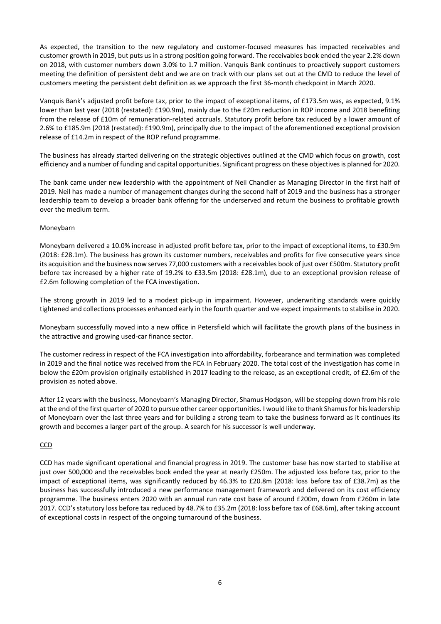As expected, the transition to the new regulatory and customer-focused measures has impacted receivables and customer growth in 2019, but puts usin a strong position going forward. The receivables book ended the year 2.2% down on 2018, with customer numbers down 3.0% to 1.7 million. Vanquis Bank continues to proactively support customers meeting the definition of persistent debt and we are on track with our plans set out at the CMD to reduce the level of customers meeting the persistent debt definition as we approach the first 36-month checkpoint in March 2020.

Vanquis Bank's adjusted profit before tax, prior to the impact of exceptional items, of £173.5m was, as expected, 9.1% lower than last year (2018 (restated): £190.9m), mainly due to the £20m reduction in ROP income and 2018 benefiting from the release of £10m of remuneration-related accruals. Statutory profit before tax reduced by a lower amount of 2.6% to £185.9m (2018 (restated): £190.9m), principally due to the impact of the aforementioned exceptional provision release of £14.2m in respect of the ROP refund programme.

The business has already started delivering on the strategic objectives outlined at the CMD which focus on growth, cost efficiency and a number of funding and capital opportunities. Significant progress on these objectives is planned for 2020.

The bank came under new leadership with the appointment of Neil Chandler as Managing Director in the first half of 2019. Neil has made a number of management changes during the second half of 2019 and the business has a stronger leadership team to develop a broader bank offering for the underserved and return the business to profitable growth over the medium term.

## Moneybarn

Moneybarn delivered a 10.0% increase in adjusted profit before tax, prior to the impact of exceptional items, to £30.9m (2018: £28.1m). The business has grown its customer numbers, receivables and profits for five consecutive years since its acquisition and the business now serves 77,000 customers with a receivables book of just over £500m. Statutory profit before tax increased by a higher rate of 19.2% to £33.5m (2018: £28.1m), due to an exceptional provision release of £2.6m following completion of the FCA investigation.

The strong growth in 2019 led to a modest pick-up in impairment. However, underwriting standards were quickly tightened and collections processes enhanced early in the fourth quarter and we expect impairmentsto stabilise in 2020.

Moneybarn successfully moved into a new office in Petersfield which will facilitate the growth plans of the business in the attractive and growing used-car finance sector.

The customer redress in respect of the FCA investigation into affordability, forbearance and termination was completed in 2019 and the final notice was received from the FCA in February 2020. The total cost of the investigation has come in below the £20m provision originally established in 2017 leading to the release, as an exceptional credit, of £2.6m of the provision as noted above.

After 12 years with the business, Moneybarn's Managing Director, Shamus Hodgson, will be stepping down from his role at the end of the first quarter of 2020 to pursue other career opportunities. I would like to thank Shamus for his leadership of Moneybarn over the last three years and for building a strong team to take the business forward as it continues its growth and becomes a larger part of the group. A search for his successor is well underway.

## **CCD**

CCD has made significant operational and financial progress in 2019. The customer base has now started to stabilise at just over 500,000 and the receivables book ended the year at nearly £250m. The adjusted loss before tax, prior to the impact of exceptional items, was significantly reduced by 46.3% to £20.8m (2018: loss before tax of £38.7m) as the business has successfully introduced a new performance management framework and delivered on its cost efficiency programme. The business enters 2020 with an annual run rate cost base of around £200m, down from £260m in late 2017. CCD's statutory loss before tax reduced by 48.7% to £35.2m (2018: loss before tax of £68.6m), after taking account of exceptional costs in respect of the ongoing turnaround of the business.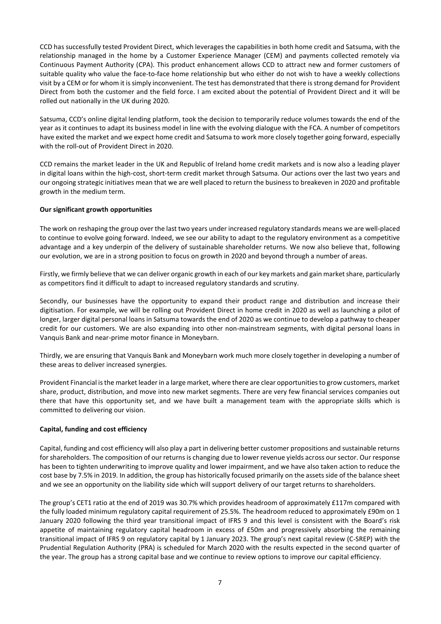CCD has successfully tested Provident Direct, which leverages the capabilities in both home credit and Satsuma, with the relationship managed in the home by a Customer Experience Manager (CEM) and payments collected remotely via Continuous Payment Authority (CPA). This product enhancement allows CCD to attract new and former customers of suitable quality who value the face-to-face home relationship but who either do not wish to have a weekly collections visit by a CEM or for whom it is simply inconvenient. The test has demonstrated that there is strong demand for Provident Direct from both the customer and the field force. I am excited about the potential of Provident Direct and it will be rolled out nationally in the UK during 2020.

Satsuma, CCD's online digital lending platform, took the decision to temporarily reduce volumes towards the end of the year as it continues to adapt its business model in line with the evolving dialogue with the FCA. A number of competitors have exited the market and we expect home credit and Satsuma to work more closely together going forward, especially with the roll-out of Provident Direct in 2020.

CCD remains the market leader in the UK and Republic of Ireland home credit markets and is now also a leading player in digital loans within the high-cost, short-term credit market through Satsuma. Our actions over the last two years and our ongoing strategic initiatives mean that we are well placed to return the business to breakeven in 2020 and profitable growth in the medium term.

# **Our significant growth opportunities**

The work on reshaping the group over the last two years under increased regulatory standards means we are well-placed to continue to evolve going forward. Indeed, we see our ability to adapt to the regulatory environment as a competitive advantage and a key underpin of the delivery of sustainable shareholder returns. We now also believe that, following our evolution, we are in a strong position to focus on growth in 2020 and beyond through a number of areas.

Firstly, we firmly believe that we can deliver organic growth in each of our key markets and gain market share, particularly as competitors find it difficult to adapt to increased regulatory standards and scrutiny.

Secondly, our businesses have the opportunity to expand their product range and distribution and increase their digitisation. For example, we will be rolling out Provident Direct in home credit in 2020 as well as launching a pilot of longer, larger digital personal loans in Satsuma towards the end of 2020 as we continue to develop a pathway to cheaper credit for our customers. We are also expanding into other non-mainstream segments, with digital personal loans in Vanquis Bank and near-prime motor finance in Moneybarn.

Thirdly, we are ensuring that Vanquis Bank and Moneybarn work much more closely together in developing a number of these areas to deliver increased synergies.

Provident Financial is the market leader in a large market, where there are clear opportunities to grow customers, market share, product, distribution, and move into new market segments. There are very few financial services companies out there that have this opportunity set, and we have built a management team with the appropriate skills which is committed to delivering our vision.

## **Capital, funding and cost efficiency**

Capital, funding and cost efficiency will also play a part in delivering better customer propositions and sustainable returns for shareholders. The composition of our returns is changing due to lower revenue yields across our sector. Our response has been to tighten underwriting to improve quality and lower impairment, and we have also taken action to reduce the cost base by 7.5% in 2019. In addition, the group has historically focused primarily on the assets side of the balance sheet and we see an opportunity on the liability side which will support delivery of our target returns to shareholders.

The group's CET1 ratio at the end of 2019 was 30.7% which provides headroom of approximately £117m compared with the fully loaded minimum regulatory capital requirement of 25.5%. The headroom reduced to approximately £90m on 1 January 2020 following the third year transitional impact of IFRS 9 and this level is consistent with the Board's risk appetite of maintaining regulatory capital headroom in excess of £50m and progressively absorbing the remaining transitional impact of IFRS 9 on regulatory capital by 1 January 2023. The group's next capital review (C-SREP) with the Prudential Regulation Authority (PRA) is scheduled for March 2020 with the results expected in the second quarter of the year. The group has a strong capital base and we continue to review options to improve our capital efficiency.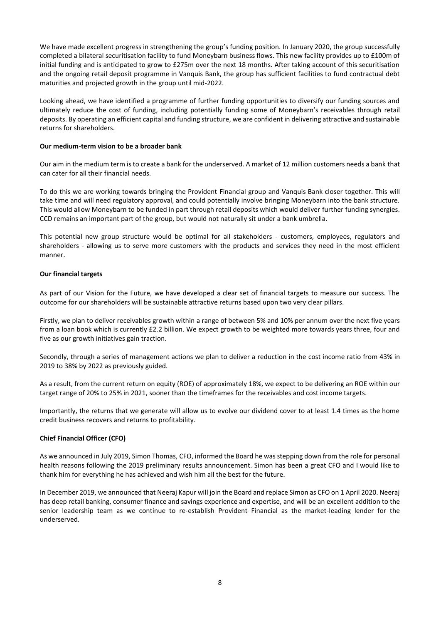We have made excellent progress in strengthening the group's funding position. In January 2020, the group successfully completed a bilateral securitisation facility to fund Moneybarn business flows. This new facility provides up to £100m of initial funding and is anticipated to grow to £275m over the next 18 months. After taking account of this securitisation and the ongoing retail deposit programme in Vanquis Bank, the group has sufficient facilities to fund contractual debt maturities and projected growth in the group until mid-2022.

Looking ahead, we have identified a programme of further funding opportunities to diversify our funding sources and ultimately reduce the cost of funding, including potentially funding some of Moneybarn's receivables through retail deposits. By operating an efficient capital and funding structure, we are confident in delivering attractive and sustainable returns for shareholders.

#### **Our medium-term vision to be a broader bank**

Our aim in the medium term is to create a bank for the underserved. A market of 12 million customers needs a bank that can cater for all their financial needs.

To do this we are working towards bringing the Provident Financial group and Vanquis Bank closer together. This will take time and will need regulatory approval, and could potentially involve bringing Moneybarn into the bank structure. This would allow Moneybarn to be funded in part through retail deposits which would deliver further funding synergies. CCD remains an important part of the group, but would not naturally sit under a bank umbrella.

This potential new group structure would be optimal for all stakeholders - customers, employees, regulators and shareholders - allowing us to serve more customers with the products and services they need in the most efficient manner.

#### **Our financial targets**

As part of our Vision for the Future, we have developed a clear set of financial targets to measure our success. The outcome for our shareholders will be sustainable attractive returns based upon two very clear pillars.

Firstly, we plan to deliver receivables growth within a range of between 5% and 10% per annum over the next five years from a loan book which is currently £2.2 billion. We expect growth to be weighted more towards years three, four and five as our growth initiatives gain traction.

Secondly, through a series of management actions we plan to deliver a reduction in the cost income ratio from 43% in 2019 to 38% by 2022 as previously guided.

As a result, from the current return on equity (ROE) of approximately 18%, we expect to be delivering an ROE within our target range of 20% to 25% in 2021, sooner than the timeframes for the receivables and cost income targets.

Importantly, the returns that we generate will allow us to evolve our dividend cover to at least 1.4 times as the home credit business recovers and returns to profitability.

## **Chief Financial Officer (CFO)**

As we announced in July 2019, Simon Thomas, CFO, informed the Board he was stepping down from the role for personal health reasons following the 2019 preliminary results announcement. Simon has been a great CFO and I would like to thank him for everything he has achieved and wish him all the best for the future.

In December 2019, we announced that Neeraj Kapur will join the Board and replace Simon as CFO on 1 April 2020. Neeraj has deep retail banking, consumer finance and savings experience and expertise, and will be an excellent addition to the senior leadership team as we continue to re-establish Provident Financial as the market-leading lender for the underserved.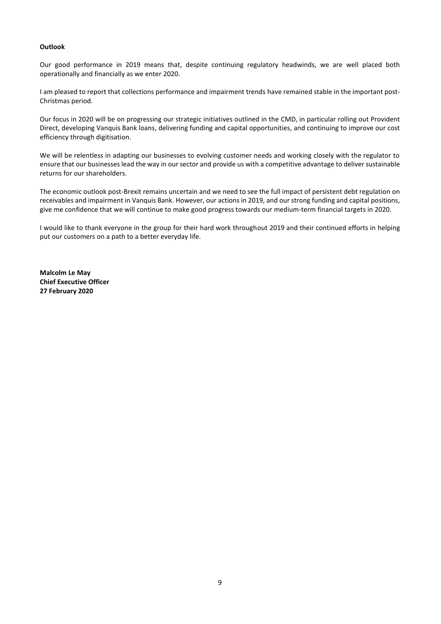## **Outlook**

Our good performance in 2019 means that, despite continuing regulatory headwinds, we are well placed both operationally and financially as we enter 2020.

I am pleased to report that collections performance and impairment trends have remained stable in the important post-Christmas period.

Our focus in 2020 will be on progressing our strategic initiatives outlined in the CMD, in particular rolling out Provident Direct, developing Vanquis Bank loans, delivering funding and capital opportunities, and continuing to improve our cost efficiency through digitisation.

We will be relentless in adapting our businesses to evolving customer needs and working closely with the regulator to ensure that our businesses lead the way in our sector and provide us with a competitive advantage to deliver sustainable returns for our shareholders.

The economic outlook post-Brexit remains uncertain and we need to see the full impact of persistent debt regulation on receivables and impairment in Vanquis Bank. However, our actions in 2019, and our strong funding and capital positions, give me confidence that we will continue to make good progress towards our medium-term financial targets in 2020.

I would like to thank everyone in the group for their hard work throughout 2019 and their continued efforts in helping put our customers on a path to a better everyday life.

**Malcolm Le May Chief Executive Officer 27 February 2020**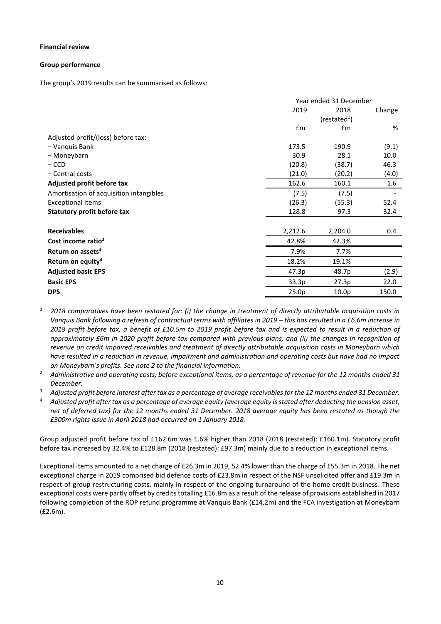## **Financial review**

#### **Group performance**

The group's 2019 results can be summarised as follows:

|                                         | Year ended 31 December |                          |                  |  |
|-----------------------------------------|------------------------|--------------------------|------------------|--|
|                                         | 2019<br>2018           |                          | Change           |  |
|                                         |                        | (restated <sup>1</sup> ) |                  |  |
|                                         | £m                     | £m                       | %                |  |
| Adjusted profit/(loss) before tax:      |                        |                          |                  |  |
| - Vanquis Bank                          | 173.5                  | 190.9                    | (9.1)            |  |
| - Moneybarn                             | 30.9                   | 28.1                     | 10.0             |  |
| $-$ CCD                                 | (20.8)                 | (38.7)                   | 46.3             |  |
| - Central costs                         | (21.0)                 | (20.2)                   | (4.0)            |  |
| Adjusted profit before tax              | 162.6                  | 160.1                    | $1.6\phantom{0}$ |  |
| Amortisation of acquisition intangibles | (7.5)                  | (7.5)                    |                  |  |
| <b>Exceptional items</b>                | (26.3)                 | (55.3)                   | 52.4             |  |
| Statutory profit before tax             | 128.8                  | 97.3                     | 32.4             |  |
| <b>Receivables</b>                      | 2,212.6                | 2,204.0                  | 0.4              |  |
| Cost income ratio <sup>2</sup>          | 42.8%                  | 42.3%                    |                  |  |
| Return on assets <sup>3</sup>           | 7.9%                   | 7.7%                     |                  |  |
| Return on equity <sup>4</sup>           | 18.2%                  | 19.1%                    |                  |  |
| <b>Adjusted basic EPS</b>               | 47.3p                  | 48.7p                    | (2.9)            |  |
| <b>Basic EPS</b>                        | 33.3p                  | 27.3p                    | 22.0             |  |
| <b>DPS</b>                              | 25.0p                  | 10.0 <sub>p</sub>        | 150.0            |  |

- *<sup>1</sup> 2018 comparatives have been restated for: (i) the change in treatment of directly attributable acquisition costs in Vanquis Bank following a refresh of contractual terms with affiliates in 2019 – this has resulted in a £6.6m increase in 2018 profit before tax, a benefit of £10.5m to 2019 profit before tax and is expected to result in a reduction of approximately £6m in 2020 profit before tax compared with previous plans; and (ii) the changes in recognition of revenue on credit impaired receivables and treatment of directly attributable acquisition costs in Moneybarn which have resulted in a reduction in revenue, impairment and administration and operating costs but have had no impact on Moneybarn's profits. See note 2 to the financial information.*
- *<sup>2</sup> Administrative and operating costs, before exceptional items, as a percentage of revenue for the 12 months ended 31 December.*
- *<sup>3</sup> Adjusted profit before interest after tax as a percentage of average receivables for the 12 months ended 31 December.*
- *<sup>4</sup> Adjusted profit after tax as a percentage of average equity (average equity is stated after deducting the pension asset, net of deferred tax) for the 12 months ended 31 December. 2018 average equity has been restated as though the £300m rights issue in April 2018 had occurred on 1 January 2018.*

Group adjusted profit before tax of £162.6m was 1.6% higher than 2018 (2018 (restated): £160.1m). Statutory profit before tax increased by 32.4% to £128.8m (2018 (restated): £97.3m) mainly due to a reduction in exceptional items.

Exceptional items amounted to a net charge of £26.3m in 2019, 52.4% lower than the charge of £55.3m in 2018. The net exceptional charge in 2019 comprised bid defence costs of £23.8m in respect of the NSF unsolicited offer and £19.3m in respect of group restructuring costs, mainly in respect of the ongoing turnaround of the home credit business. These exceptional costs were partly offset by credits totalling £16.8m as a result of the release of provisions established in 2017 following completion of the ROP refund programme at Vanquis Bank (£14.2m) and the FCA investigation at Moneybarn (£2.6m).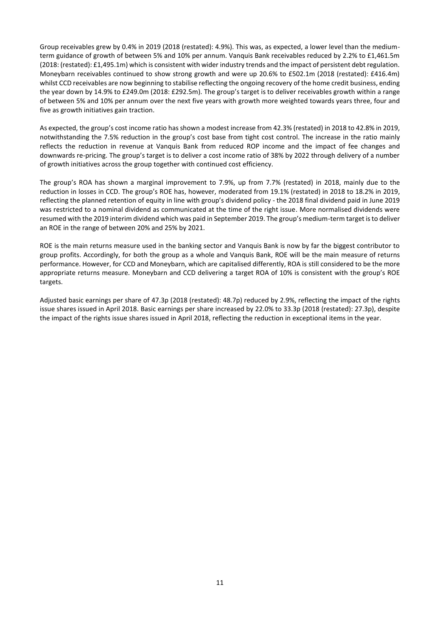Group receivables grew by 0.4% in 2019 (2018 (restated): 4.9%). This was, as expected, a lower level than the mediumterm guidance of growth of between 5% and 10% per annum. Vanquis Bank receivables reduced by 2.2% to £1,461.5m (2018: (restated): £1,495.1m) which is consistent with wider industry trends and the impact of persistent debt regulation. Moneybarn receivables continued to show strong growth and were up 20.6% to £502.1m (2018 (restated): £416.4m) whilst CCD receivables are now beginning to stabilise reflecting the ongoing recovery of the home credit business, ending the year down by 14.9% to £249.0m (2018: £292.5m). The group's target is to deliver receivables growth within a range of between 5% and 10% per annum over the next five years with growth more weighted towards years three, four and five as growth initiatives gain traction.

As expected, the group's cost income ratio has shown a modest increase from 42.3% (restated) in 2018 to 42.8% in 2019, notwithstanding the 7.5% reduction in the group's cost base from tight cost control. The increase in the ratio mainly reflects the reduction in revenue at Vanquis Bank from reduced ROP income and the impact of fee changes and downwards re-pricing. The group's target is to deliver a cost income ratio of 38% by 2022 through delivery of a number of growth initiatives across the group together with continued cost efficiency.

The group's ROA has shown a marginal improvement to 7.9%, up from 7.7% (restated) in 2018, mainly due to the reduction in losses in CCD. The group's ROE has, however, moderated from 19.1% (restated) in 2018 to 18.2% in 2019, reflecting the planned retention of equity in line with group's dividend policy - the 2018 final dividend paid in June 2019 was restricted to a nominal dividend as communicated at the time of the right issue. More normalised dividends were resumed with the 2019 interim dividend which was paid in September 2019. The group's medium-term target is to deliver an ROE in the range of between 20% and 25% by 2021.

ROE is the main returns measure used in the banking sector and Vanquis Bank is now by far the biggest contributor to group profits. Accordingly, for both the group as a whole and Vanquis Bank, ROE will be the main measure of returns performance. However, for CCD and Moneybarn, which are capitalised differently, ROA is still considered to be the more appropriate returns measure. Moneybarn and CCD delivering a target ROA of 10% is consistent with the group's ROE targets.

Adjusted basic earnings per share of 47.3p (2018 (restated): 48.7p) reduced by 2.9%, reflecting the impact of the rights issue shares issued in April 2018. Basic earnings per share increased by 22.0% to 33.3p (2018 (restated): 27.3p), despite the impact of the rights issue shares issued in April 2018, reflecting the reduction in exceptional items in the year.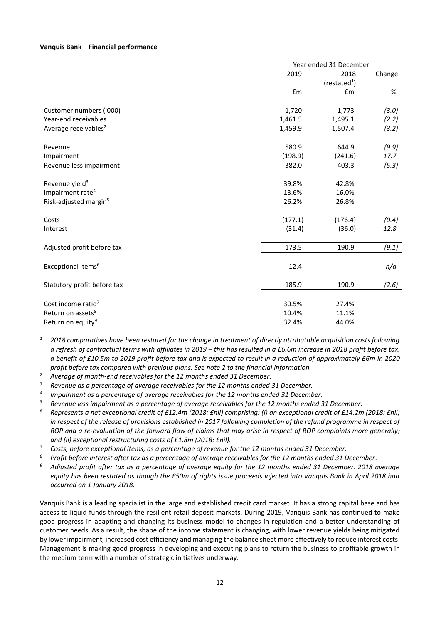#### **Vanquis Bank – Financial performance**

|                                   | Year ended 31 December |                        |        |  |  |
|-----------------------------------|------------------------|------------------------|--------|--|--|
|                                   | 2019                   | 2018                   | Change |  |  |
|                                   |                        | (rested <sup>1</sup> ) |        |  |  |
|                                   | £m                     | £m                     | %      |  |  |
|                                   |                        |                        |        |  |  |
| Customer numbers ('000)           | 1,720                  | 1,773                  | (3.0)  |  |  |
| Year-end receivables              | 1,461.5                | 1,495.1                | (2.2)  |  |  |
| Average receivables <sup>2</sup>  | 1,459.9                | 1,507.4                | (3.2)  |  |  |
|                                   |                        |                        |        |  |  |
| Revenue                           | 580.9                  | 644.9                  | (9.9)  |  |  |
| Impairment                        | (198.9)                | (241.6)                | 17.7   |  |  |
| Revenue less impairment           | 382.0                  | 403.3                  | (5.3)  |  |  |
| Revenue yield <sup>3</sup>        | 39.8%                  | 42.8%                  |        |  |  |
| Impairment rate <sup>4</sup>      | 13.6%                  | 16.0%                  |        |  |  |
| Risk-adjusted margin <sup>5</sup> | 26.2%                  | 26.8%                  |        |  |  |
|                                   |                        |                        |        |  |  |
| Costs                             | (177.1)                | (176.4)                | (0.4)  |  |  |
| Interest                          | (31.4)                 | (36.0)                 | 12.8   |  |  |
| Adjusted profit before tax        | 173.5                  | 190.9                  | (9.1)  |  |  |
|                                   |                        |                        |        |  |  |
| Exceptional items <sup>6</sup>    | 12.4                   |                        | n/a    |  |  |
| Statutory profit before tax       | 185.9                  | 190.9                  | (2.6)  |  |  |
| Cost income ratio <sup>7</sup>    | 30.5%                  | 27.4%                  |        |  |  |
| Return on assets <sup>8</sup>     | 10.4%                  | 11.1%                  |        |  |  |
| Return on equity <sup>9</sup>     | 32.4%                  | 44.0%                  |        |  |  |
|                                   |                        |                        |        |  |  |

*<sup>1</sup> 2018 comparatives have been restated for the change in treatment of directly attributable acquisition costs following*  a refresh of contractual terms with affiliates in 2019 – this has resulted in a £6.6m increase in 2018 profit before tax, *a benefit of £10.5m to 2019 profit before tax and is expected to result in a reduction of approximately £6m in 2020 profit before tax compared with previous plans. See note 2 to the financial information.* 

*<sup>2</sup> Average of month-end receivables for the 12 months ended 31 December.*

*<sup>3</sup> Revenue as a percentage of average receivables for the 12 months ended 31 December.*

*4 Impairment as a percentage of average receivables for the 12 months ended 31 December.*

*<sup>5</sup> Revenue less impairment as a percentage of average receivables for the 12 months ended 31 December.*

- *<sup>6</sup> Represents a net exceptional credit of £12.4m (2018: £nil) comprising: (i) an exceptional credit of £14.2m (2018: £nil) in respect of the release of provisions established in 2017 following completion of the refund programme in respect of ROP and a re-evaluation of the forward flow of claims that may arise in respect of ROP complaints more generally; and (ii) exceptional restructuring costs of £1.8m (2018: £nil).*
- *<sup>7</sup> Costs, before exceptional items, as a percentage of revenue for the 12 months ended 31 December.*
- *<sup>8</sup> Profit before interest after tax as a percentage of average receivables for the 12 months ended 31 December.*
- *<sup>9</sup> Adjusted profit after tax as a percentage of average equity for the 12 months ended 31 December. 2018 average equity has been restated as though the £50m of rights issue proceeds injected into Vanquis Bank in April 2018 had occurred on 1 January 2018.*

Vanquis Bank is a leading specialist in the large and established credit card market. It has a strong capital base and has access to liquid funds through the resilient retail deposit markets. During 2019, Vanquis Bank has continued to make good progress in adapting and changing its business model to changes in regulation and a better understanding of customer needs. As a result, the shape of the income statement is changing, with lower revenue yields being mitigated by lower impairment, increased cost efficiency and managing the balance sheet more effectively to reduce interest costs. Management is making good progress in developing and executing plans to return the business to profitable growth in the medium term with a number of strategic initiatives underway.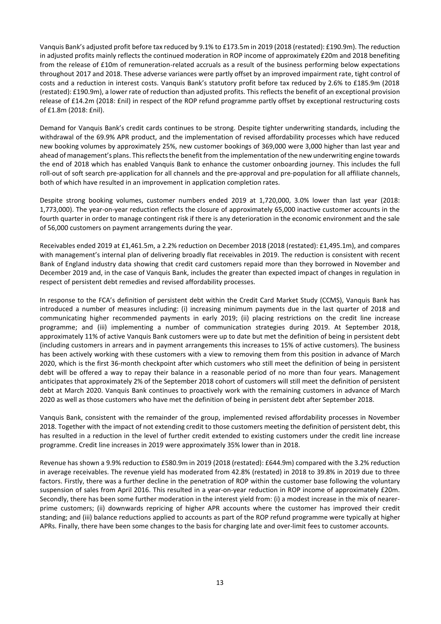Vanquis Bank's adjusted profit before tax reduced by 9.1% to £173.5m in 2019 (2018 (restated): £190.9m). The reduction in adjusted profits mainly reflects the continued moderation in ROP income of approximately £20m and 2018 benefiting from the release of £10m of remuneration-related accruals as a result of the business performing below expectations throughout 2017 and 2018. These adverse variances were partly offset by an improved impairment rate, tight control of costs and a reduction in interest costs. Vanquis Bank's statutory profit before tax reduced by 2.6% to £185.9m (2018 (restated): £190.9m), a lower rate of reduction than adjusted profits. This reflects the benefit of an exceptional provision release of £14.2m (2018: £nil) in respect of the ROP refund programme partly offset by exceptional restructuring costs of £1.8m (2018: £nil).

Demand for Vanquis Bank's credit cards continues to be strong. Despite tighter underwriting standards, including the withdrawal of the 69.9% APR product, and the implementation of revised affordability processes which have reduced new booking volumes by approximately 25%, new customer bookings of 369,000 were 3,000 higher than last year and ahead of management's plans. This reflects the benefit from the implementation of the new underwriting engine towards the end of 2018 which has enabled Vanquis Bank to enhance the customer onboarding journey. This includes the full roll-out of soft search pre-application for all channels and the pre-approval and pre-population for all affiliate channels, both of which have resulted in an improvement in application completion rates.

Despite strong booking volumes, customer numbers ended 2019 at 1,720,000, 3.0% lower than last year (2018: 1,773,000). The year-on-year reduction reflects the closure of approximately 65,000 inactive customer accounts in the fourth quarter in order to manage contingent risk if there is any deterioration in the economic environment and the sale of 56,000 customers on payment arrangements during the year.

Receivables ended 2019 at £1,461.5m, a 2.2% reduction on December 2018 (2018 (restated): £1,495.1m), and compares with management's internal plan of delivering broadly flat receivables in 2019. The reduction is consistent with recent Bank of England industry data showing that credit card customers repaid more than they borrowed in November and December 2019 and, in the case of Vanquis Bank, includes the greater than expected impact of changes in regulation in respect of persistent debt remedies and revised affordability processes.

In response to the FCA's definition of persistent debt within the Credit Card Market Study (CCMS), Vanquis Bank has introduced a number of measures including: (i) increasing minimum payments due in the last quarter of 2018 and communicating higher recommended payments in early 2019; (ii) placing restrictions on the credit line increase programme; and (iii) implementing a number of communication strategies during 2019. At September 2018, approximately 11% of active Vanquis Bank customers were up to date but met the definition of being in persistent debt (including customers in arrears and in payment arrangements this increases to 15% of active customers). The business has been actively working with these customers with a view to removing them from this position in advance of March 2020, which is the first 36-month checkpoint after which customers who still meet the definition of being in persistent debt will be offered a way to repay their balance in a reasonable period of no more than four years. Management anticipates that approximately 2% of the September 2018 cohort of customers will still meet the definition of persistent debt at March 2020. Vanquis Bank continues to proactively work with the remaining customers in advance of March 2020 as well as those customers who have met the definition of being in persistent debt after September 2018.

Vanquis Bank, consistent with the remainder of the group, implemented revised affordability processes in November 2018. Together with the impact of not extending credit to those customers meeting the definition of persistent debt, this has resulted in a reduction in the level of further credit extended to existing customers under the credit line increase programme. Credit line increases in 2019 were approximately 35% lower than in 2018.

Revenue has shown a 9.9% reduction to £580.9m in 2019 (2018 (restated): £644.9m) compared with the 3.2% reduction in average receivables. The revenue yield has moderated from 42.8% (restated) in 2018 to 39.8% in 2019 due to three factors. Firstly, there was a further decline in the penetration of ROP within the customer base following the voluntary suspension of sales from April 2016. This resulted in a year-on-year reduction in ROP income of approximately £20m. Secondly, there has been some further moderation in the interest yield from: (i) a modest increase in the mix of nearerprime customers; (ii) downwards repricing of higher APR accounts where the customer has improved their credit standing; and (iii) balance reductions applied to accounts as part of the ROP refund programme were typically at higher APRs. Finally, there have been some changes to the basis for charging late and over-limit fees to customer accounts.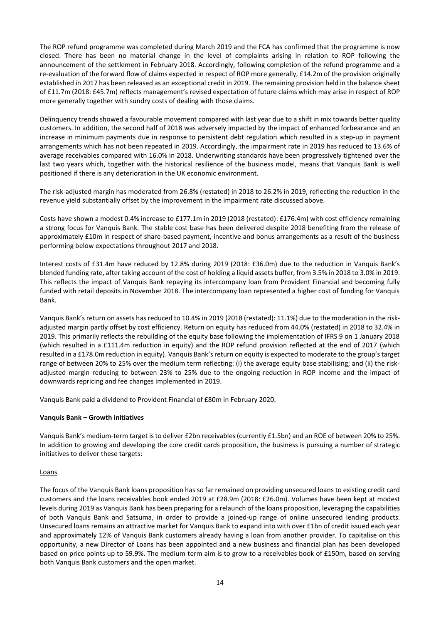The ROP refund programme was completed during March 2019 and the FCA has confirmed that the programme is now closed. There has been no material change in the level of complaints arising in relation to ROP following the announcement of the settlement in February 2018. Accordingly, following completion of the refund programme and a re-evaluation of the forward flow of claims expected in respect of ROP more generally, £14.2m of the provision originally established in 2017 has been released as an exceptional credit in 2019. The remaining provision held in the balance sheet of £11.7m (2018: £45.7m) reflects management's revised expectation of future claims which may arise in respect of ROP more generally together with sundry costs of dealing with those claims.

Delinquency trends showed a favourable movement compared with last year due to a shift in mix towards better quality customers. In addition, the second half of 2018 was adversely impacted by the impact of enhanced forbearance and an increase in minimum payments due in response to persistent debt regulation which resulted in a step-up in payment arrangements which has not been repeated in 2019. Accordingly, the impairment rate in 2019 has reduced to 13.6% of average receivables compared with 16.0% in 2018. Underwriting standards have been progressively tightened over the last two years which, together with the historical resilience of the business model, means that Vanquis Bank is well positioned if there is any deterioration in the UK economic environment.

The risk-adjusted margin has moderated from 26.8% (restated) in 2018 to 26.2% in 2019, reflecting the reduction in the revenue yield substantially offset by the improvement in the impairment rate discussed above.

Costs have shown a modest 0.4% increase to £177.1m in 2019 (2018 (restated): £176.4m) with cost efficiency remaining a strong focus for Vanquis Bank. The stable cost base has been delivered despite 2018 benefiting from the release of approximately £10m in respect of share-based payment, incentive and bonus arrangements as a result of the business performing below expectations throughout 2017 and 2018.

Interest costs of £31.4m have reduced by 12.8% during 2019 (2018: £36.0m) due to the reduction in Vanquis Bank's blended funding rate, after taking account of the cost of holding a liquid assets buffer, from 3.5% in 2018 to 3.0% in 2019. This reflects the impact of Vanquis Bank repaying its intercompany loan from Provident Financial and becoming fully funded with retail deposits in November 2018. The intercompany loan represented a higher cost of funding for Vanquis Bank.

Vanquis Bank's return on assets has reduced to 10.4% in 2019 (2018 (restated): 11.1%) due to the moderation in the riskadjusted margin partly offset by cost efficiency. Return on equity has reduced from 44.0% (restated) in 2018 to 32.4% in 2019. This primarily reflects the rebuilding of the equity base following the implementation of IFRS 9 on 1 January 2018 (which resulted in a £111.4m reduction in equity) and the ROP refund provision reflected at the end of 2017 (which resulted in a £178.0m reduction in equity). Vanquis Bank's return on equity is expected to moderate to the group's target range of between 20% to 25% over the medium term reflecting: (i) the average equity base stabilising; and (ii) the riskadjusted margin reducing to between 23% to 25% due to the ongoing reduction in ROP income and the impact of downwards repricing and fee changes implemented in 2019.

Vanquis Bank paid a dividend to Provident Financial of £80m in February 2020.

## **Vanquis Bank – Growth initiatives**

Vanquis Bank's medium-term target isto deliver £2bn receivables(currently £1.5bn) and an ROE of between 20% to 25%. In addition to growing and developing the core credit cards proposition, the business is pursuing a number of strategic initiatives to deliver these targets:

#### **Loans**

The focus of the Vanquis Bank loans proposition has so far remained on providing unsecured loans to existing credit card customers and the loans receivables book ended 2019 at £28.9m (2018: £26.0m). Volumes have been kept at modest levels during 2019 as Vanquis Bank has been preparing for a relaunch of the loans proposition, leveraging the capabilities of both Vanquis Bank and Satsuma, in order to provide a joined-up range of online unsecured lending products. Unsecured loans remains an attractive market for Vanquis Bank to expand into with over £1bn of credit issued each year and approximately 12% of Vanquis Bank customers already having a loan from another provider. To capitalise on this opportunity, a new Director of Loans has been appointed and a new business and financial plan has been developed based on price points up to 59.9%. The medium-term aim is to grow to a receivables book of £150m, based on serving both Vanquis Bank customers and the open market.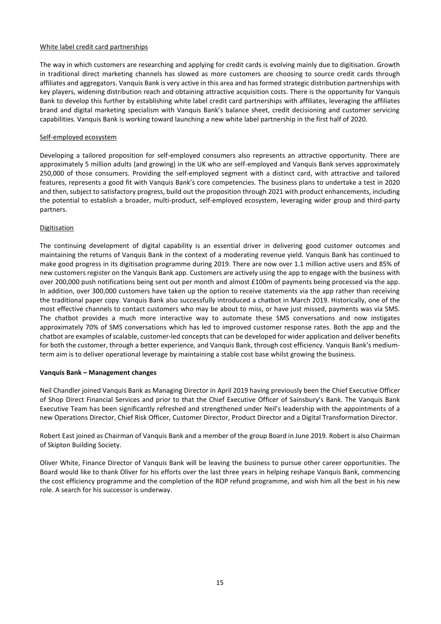#### White label credit card partnerships

The way in which customers are researching and applying for credit cards is evolving mainly due to digitisation. Growth in traditional direct marketing channels has slowed as more customers are choosing to source credit cards through affiliates and aggregators. Vanquis Bank is very active in this area and has formed strategic distribution partnerships with key players, widening distribution reach and obtaining attractive acquisition costs. There is the opportunity for Vanquis Bank to develop this further by establishing white label credit card partnerships with affiliates, leveraging the affiliates brand and digital marketing specialism with Vanquis Bank's balance sheet, credit decisioning and customer servicing capabilities. Vanquis Bank is working toward launching a new white label partnership in the first half of 2020.

#### Self-employed ecosystem

Developing a tailored proposition for self-employed consumers also represents an attractive opportunity. There are approximately 5 million adults (and growing) in the UK who are self-employed and Vanquis Bank serves approximately 250,000 of those consumers. Providing the self-employed segment with a distinct card, with attractive and tailored features, represents a good fit with Vanquis Bank's core competencies. The business plans to undertake a test in 2020 and then, subject to satisfactory progress, build out the proposition through 2021 with product enhancements, including the potential to establish a broader, multi-product, self-employed ecosystem, leveraging wider group and third-party partners.

#### Digitisation

The continuing development of digital capability is an essential driver in delivering good customer outcomes and maintaining the returns of Vanquis Bank in the context of a moderating revenue yield. Vanquis Bank has continued to make good progress in its digitisation programme during 2019. There are now over 1.1 million active users and 85% of new customers register on the Vanquis Bank app. Customers are actively using the app to engage with the business with over 200,000 push notifications being sent out per month and almost £100m of payments being processed via the app. In addition, over 300,000 customers have taken up the option to receive statements via the app rather than receiving the traditional paper copy. Vanquis Bank also successfully introduced a chatbot in March 2019. Historically, one of the most effective channels to contact customers who may be about to miss, or have just missed, payments was via SMS. The chatbot provides a much more interactive way to automate these SMS conversations and now instigates approximately 70% of SMS conversations which has led to improved customer response rates. Both the app and the chatbot are examples ofscalable, customer-led conceptsthat can be developed for wider application and deliver benefits for both the customer, through a better experience, and Vanquis Bank, through cost efficiency. Vanquis Bank's mediumterm aim is to deliver operational leverage by maintaining a stable cost base whilst growing the business.

#### **Vanquis Bank – Management changes**

Neil Chandler joined Vanquis Bank as Managing Director in April 2019 having previously been the Chief Executive Officer of Shop Direct Financial Services and prior to that the Chief Executive Officer of Sainsbury's Bank. The Vanquis Bank Executive Team has been significantly refreshed and strengthened under Neil's leadership with the appointments of a new Operations Director, Chief Risk Officer, Customer Director, Product Director and a Digital Transformation Director.

Robert East joined as Chairman of Vanquis Bank and a member of the group Board in June 2019. Robert is also Chairman of Skipton Building Society.

Oliver White, Finance Director of Vanquis Bank will be leaving the business to pursue other career opportunities. The Board would like to thank Oliver for his efforts over the last three years in helping reshape Vanquis Bank, commencing the cost efficiency programme and the completion of the ROP refund programme, and wish him all the best in his new role. A search for his successor is underway.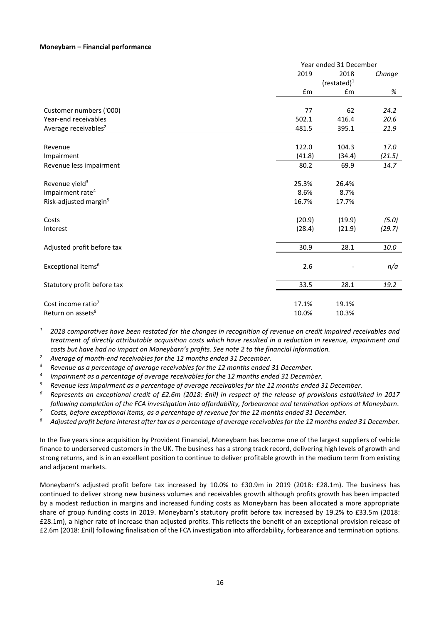#### **Moneybarn – Financial performance**

|                                   |        | Year ended 31 December |        |  |  |  |
|-----------------------------------|--------|------------------------|--------|--|--|--|
|                                   | 2019   | 2018                   | Change |  |  |  |
|                                   |        | $(restated)^1$         |        |  |  |  |
|                                   | £m     | £m                     | %      |  |  |  |
|                                   |        |                        |        |  |  |  |
| Customer numbers ('000)           | 77     | 62                     | 24.2   |  |  |  |
| Year-end receivables              | 502.1  | 416.4                  | 20.6   |  |  |  |
| Average receivables <sup>2</sup>  | 481.5  | 395.1                  | 21.9   |  |  |  |
|                                   |        |                        |        |  |  |  |
| Revenue                           | 122.0  | 104.3                  | 17.0   |  |  |  |
| Impairment                        | (41.8) | (34.4)                 | (21.5) |  |  |  |
| Revenue less impairment           | 80.2   | 69.9                   | 14.7   |  |  |  |
| Revenue yield <sup>3</sup>        | 25.3%  | 26.4%                  |        |  |  |  |
| Impairment rate <sup>4</sup>      | 8.6%   | 8.7%                   |        |  |  |  |
| Risk-adjusted margin <sup>5</sup> | 16.7%  | 17.7%                  |        |  |  |  |
| Costs                             | (20.9) | (19.9)                 | (5.0)  |  |  |  |
| Interest                          | (28.4) | (21.9)                 | (29.7) |  |  |  |
|                                   |        |                        |        |  |  |  |
| Adjusted profit before tax        | 30.9   | 28.1                   | 10.0   |  |  |  |
| Exceptional items <sup>6</sup>    | 2.6    |                        | n/a    |  |  |  |
| Statutory profit before tax       | 33.5   | 28.1                   | 19.2   |  |  |  |
| Cost income ratio <sup>7</sup>    | 17.1%  | 19.1%                  |        |  |  |  |
| Return on assets <sup>8</sup>     | 10.0%  | 10.3%                  |        |  |  |  |
|                                   |        |                        |        |  |  |  |

*<sup>1</sup> 2018 comparatives have been restated for the changes in recognition of revenue on credit impaired receivables and treatment of directly attributable acquisition costs which have resulted in a reduction in revenue, impairment and costs but have had no impact on Moneybarn's profits. See note 2 to the financial information.*

*<sup>2</sup> Average of month-end receivables for the 12 months ended 31 December.*

*<sup>3</sup> Revenue as a percentage of average receivables for the 12 months ended 31 December.*

*4 Impairment as a percentage of average receivables for the 12 months ended 31 December.*

*<sup>5</sup> Revenue less impairment as a percentage of average receivables for the 12 months ended 31 December.*

*<sup>6</sup> Represents an exceptional credit of £2.6m (2018: £nil) in respect of the release of provisions established in 2017 following completion of the FCA investigation into affordability, forbearance and termination options at Moneybarn.*

*<sup>7</sup> Costs, before exceptional items, as a percentage of revenue for the 12 months ended 31 December.*

*<sup>8</sup> Adjusted profit before interest after tax as a percentage of average receivables for the 12 months ended 31 December.*

In the five years since acquisition by Provident Financial, Moneybarn has become one of the largest suppliers of vehicle finance to underserved customers in the UK. The business has a strong track record, delivering high levels of growth and strong returns, and is in an excellent position to continue to deliver profitable growth in the medium term from existing and adjacent markets.

Moneybarn's adjusted profit before tax increased by 10.0% to £30.9m in 2019 (2018: £28.1m). The business has continued to deliver strong new business volumes and receivables growth although profits growth has been impacted by a modest reduction in margins and increased funding costs as Moneybarn has been allocated a more appropriate share of group funding costs in 2019. Moneybarn's statutory profit before tax increased by 19.2% to £33.5m (2018: £28.1m), a higher rate of increase than adjusted profits. This reflects the benefit of an exceptional provision release of £2.6m (2018: £nil) following finalisation of the FCA investigation into affordability, forbearance and termination options.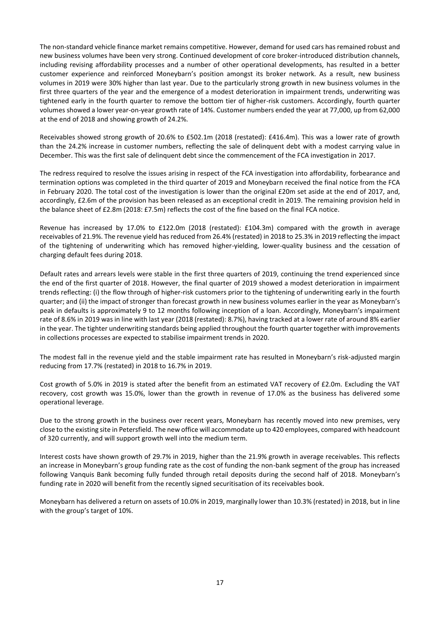The non-standard vehicle finance market remains competitive. However, demand for used cars has remained robust and new business volumes have been very strong. Continued development of core broker-introduced distribution channels, including revising affordability processes and a number of other operational developments, has resulted in a better customer experience and reinforced Moneybarn's position amongst its broker network. As a result, new business volumes in 2019 were 30% higher than last year. Due to the particularly strong growth in new business volumes in the first three quarters of the year and the emergence of a modest deterioration in impairment trends, underwriting was tightened early in the fourth quarter to remove the bottom tier of higher-risk customers. Accordingly, fourth quarter volumes showed a lower year-on-year growth rate of 14%. Customer numbers ended the year at 77,000, up from 62,000 at the end of 2018 and showing growth of 24.2%.

Receivables showed strong growth of 20.6% to £502.1m (2018 (restated): £416.4m). This was a lower rate of growth than the 24.2% increase in customer numbers, reflecting the sale of delinquent debt with a modest carrying value in December. This was the first sale of delinquent debt since the commencement of the FCA investigation in 2017.

The redress required to resolve the issues arising in respect of the FCA investigation into affordability, forbearance and termination options was completed in the third quarter of 2019 and Moneybarn received the final notice from the FCA in February 2020. The total cost of the investigation is lower than the original £20m set aside at the end of 2017, and, accordingly, £2.6m of the provision has been released as an exceptional credit in 2019. The remaining provision held in the balance sheet of £2.8m (2018: £7.5m) reflects the cost of the fine based on the final FCA notice.

Revenue has increased by 17.0% to £122.0m (2018 (restated): £104.3m) compared with the growth in average receivables of 21.9%. The revenue yield has reduced from 26.4% (restated) in 2018 to 25.3% in 2019 reflecting the impact of the tightening of underwriting which has removed higher-yielding, lower-quality business and the cessation of charging default fees during 2018.

Default rates and arrears levels were stable in the first three quarters of 2019, continuing the trend experienced since the end of the first quarter of 2018. However, the final quarter of 2019 showed a modest deterioration in impairment trends reflecting: (i) the flow through of higher-risk customers prior to the tightening of underwriting early in the fourth quarter; and (ii) the impact of stronger than forecast growth in new business volumes earlier in the year as Moneybarn's peak in defaults is approximately 9 to 12 months following inception of a loan. Accordingly, Moneybarn's impairment rate of 8.6% in 2019 was in line with last year (2018 (restated): 8.7%), having tracked at a lower rate of around 8% earlier in the year. The tighter underwriting standards being applied throughout the fourth quarter together with improvements in collections processes are expected to stabilise impairment trends in 2020.

The modest fall in the revenue yield and the stable impairment rate has resulted in Moneybarn's risk-adjusted margin reducing from 17.7% (restated) in 2018 to 16.7% in 2019.

Cost growth of 5.0% in 2019 is stated after the benefit from an estimated VAT recovery of £2.0m. Excluding the VAT recovery, cost growth was 15.0%, lower than the growth in revenue of 17.0% as the business has delivered some operational leverage.

Due to the strong growth in the business over recent years, Moneybarn has recently moved into new premises, very close to the existing site in Petersfield. The new office will accommodate up to 420 employees, compared with headcount of 320 currently, and will support growth well into the medium term.

Interest costs have shown growth of 29.7% in 2019, higher than the 21.9% growth in average receivables. This reflects an increase in Moneybarn's group funding rate as the cost of funding the non-bank segment of the group has increased following Vanquis Bank becoming fully funded through retail deposits during the second half of 2018. Moneybarn's funding rate in 2020 will benefit from the recently signed securitisation of its receivables book.

Moneybarn has delivered a return on assets of 10.0% in 2019, marginally lower than 10.3% (restated) in 2018, but in line with the group's target of 10%.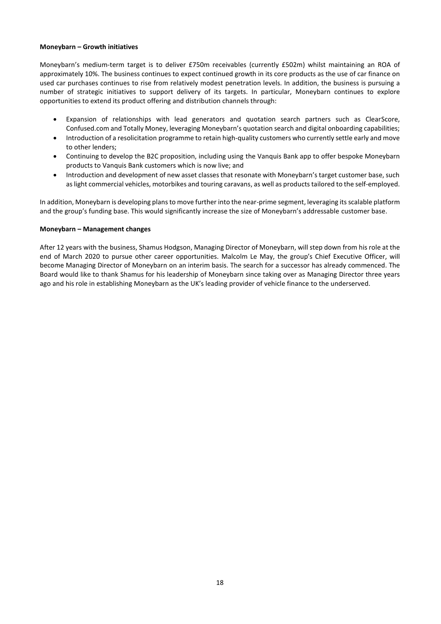#### **Moneybarn – Growth initiatives**

Moneybarn's medium-term target is to deliver £750m receivables (currently £502m) whilst maintaining an ROA of approximately 10%. The business continues to expect continued growth in its core products as the use of car finance on used car purchases continues to rise from relatively modest penetration levels. In addition, the business is pursuing a number of strategic initiatives to support delivery of its targets. In particular, Moneybarn continues to explore opportunities to extend its product offering and distribution channels through:

- Expansion of relationships with lead generators and quotation search partners such as ClearScore, Confused.com and Totally Money, leveraging Moneybarn's quotation search and digital onboarding capabilities;
- Introduction of a resolicitation programme to retain high-quality customers who currently settle early and move to other lenders;
- Continuing to develop the B2C proposition, including using the Vanquis Bank app to offer bespoke Moneybarn products to Vanquis Bank customers which is now live; and
- Introduction and development of new asset classes that resonate with Moneybarn's target customer base, such as light commercial vehicles, motorbikes and touring caravans, as well as products tailored to the self-employed.

In addition, Moneybarn is developing plans to move further into the near-prime segment, leveraging its scalable platform and the group's funding base. This would significantly increase the size of Moneybarn's addressable customer base.

#### **Moneybarn – Management changes**

After 12 years with the business, Shamus Hodgson, Managing Director of Moneybarn, will step down from his role at the end of March 2020 to pursue other career opportunities. Malcolm Le May, the group's Chief Executive Officer, will become Managing Director of Moneybarn on an interim basis. The search for a successor has already commenced. The Board would like to thank Shamus for his leadership of Moneybarn since taking over as Managing Director three years ago and his role in establishing Moneybarn as the UK's leading provider of vehicle finance to the underserved.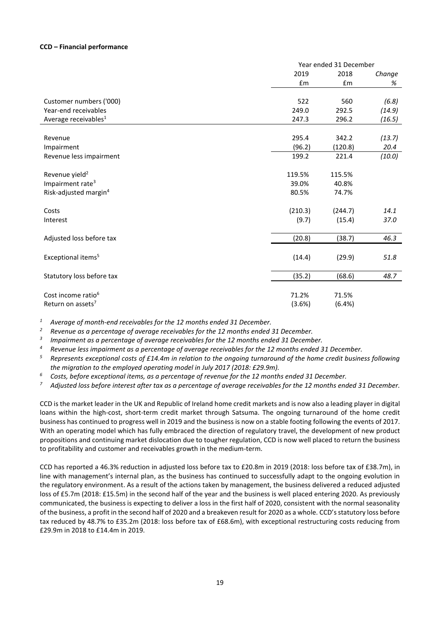#### **CCD – Financial performance**

|                                   |         | Year ended 31 December |        |  |  |  |  |
|-----------------------------------|---------|------------------------|--------|--|--|--|--|
|                                   | 2019    | 2018                   | Change |  |  |  |  |
|                                   | £m      | £m                     | %      |  |  |  |  |
| Customer numbers ('000)           | 522     | 560                    | (6.8)  |  |  |  |  |
| Year-end receivables              | 249.0   | 292.5                  | (14.9) |  |  |  |  |
| Average receivables <sup>1</sup>  | 247.3   | 296.2                  | (16.5) |  |  |  |  |
|                                   |         |                        |        |  |  |  |  |
| Revenue                           | 295.4   | 342.2                  | (13.7) |  |  |  |  |
| Impairment                        | (96.2)  | (120.8)                | 20.4   |  |  |  |  |
| Revenue less impairment           | 199.2   | 221.4                  | (10.0) |  |  |  |  |
| Revenue yield <sup>2</sup>        | 119.5%  | 115.5%                 |        |  |  |  |  |
| Impairment rate <sup>3</sup>      | 39.0%   | 40.8%                  |        |  |  |  |  |
| Risk-adjusted margin <sup>4</sup> | 80.5%   | 74.7%                  |        |  |  |  |  |
| Costs                             | (210.3) | (244.7)                | 14.1   |  |  |  |  |
| Interest                          | (9.7)   | (15.4)                 | 37.0   |  |  |  |  |
| Adjusted loss before tax          | (20.8)  | (38.7)                 | 46.3   |  |  |  |  |
|                                   |         |                        |        |  |  |  |  |
| Exceptional items <sup>5</sup>    | (14.4)  | (29.9)                 | 51.8   |  |  |  |  |
| Statutory loss before tax         | (35.2)  | (68.6)                 | 48.7   |  |  |  |  |
|                                   |         |                        |        |  |  |  |  |
| Cost income ratio <sup>6</sup>    | 71.2%   | 71.5%                  |        |  |  |  |  |
| Return on assets <sup>7</sup>     | (3.6%)  | (6.4%)                 |        |  |  |  |  |

*<sup>1</sup> Average of month-end receivables for the 12 months ended 31 December.*

*<sup>2</sup> Revenue as a percentage of average receivables for the 12 months ended 31 December.*

*3 Impairment as a percentage of average receivables for the 12 months ended 31 December.*

*<sup>4</sup> Revenue less impairment as a percentage of average receivables for the 12 months ended 31 December.*

*<sup>5</sup> Represents exceptional costs of £14.4m in relation to the ongoing turnaround of the home credit business following the migration to the employed operating model in July 2017 (2018: £29.9m).*

*<sup>6</sup> Costs, before exceptional items, as a percentage of revenue for the 12 months ended 31 December.*

*<sup>7</sup> Adjusted loss before interest after tax as a percentage of average receivables for the 12 months ended 31 December.*

CCD is the market leader in the UK and Republic of Ireland home credit markets and is now also a leading player in digital loans within the high-cost, short-term credit market through Satsuma. The ongoing turnaround of the home credit business has continued to progress well in 2019 and the business is now on a stable footing following the events of 2017. With an operating model which has fully embraced the direction of regulatory travel, the development of new product propositions and continuing market dislocation due to tougher regulation, CCD is now well placed to return the business to profitability and customer and receivables growth in the medium-term.

CCD has reported a 46.3% reduction in adjusted loss before tax to £20.8m in 2019 (2018: loss before tax of £38.7m), in line with management's internal plan, as the business has continued to successfully adapt to the ongoing evolution in the regulatory environment. As a result of the actions taken by management, the business delivered a reduced adjusted loss of £5.7m (2018: £15.5m) in the second half of the year and the business is well placed entering 2020. As previously communicated, the business is expecting to deliver a loss in the first half of 2020, consistent with the normal seasonality of the business, a profit in the second half of 2020 and a breakeven result for 2020 as a whole. CCD's statutory loss before tax reduced by 48.7% to £35.2m (2018: loss before tax of £68.6m), with exceptional restructuring costs reducing from £29.9m in 2018 to £14.4m in 2019.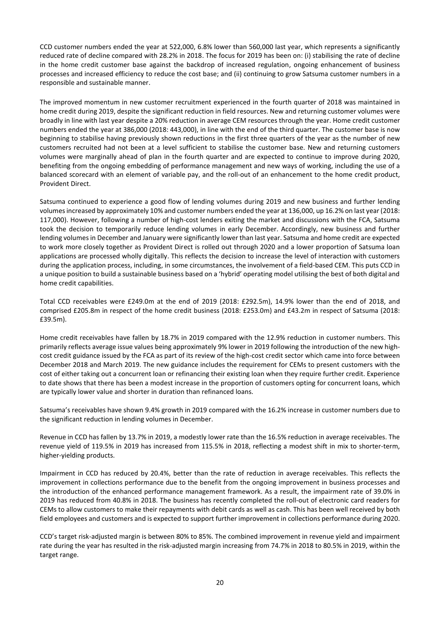CCD customer numbers ended the year at 522,000, 6.8% lower than 560,000 last year, which represents a significantly reduced rate of decline compared with 28.2% in 2018. The focus for 2019 has been on: (i) stabilising the rate of decline in the home credit customer base against the backdrop of increased regulation, ongoing enhancement of business processes and increased efficiency to reduce the cost base; and (ii) continuing to grow Satsuma customer numbers in a responsible and sustainable manner.

The improved momentum in new customer recruitment experienced in the fourth quarter of 2018 was maintained in home credit during 2019, despite the significant reduction in field resources. New and returning customer volumes were broadly in line with last year despite a 20% reduction in average CEM resources through the year. Home credit customer numbers ended the year at 386,000 (2018: 443,000), in line with the end of the third quarter. The customer base is now beginning to stabilise having previously shown reductions in the first three quarters of the year as the number of new customers recruited had not been at a level sufficient to stabilise the customer base. New and returning customers volumes were marginally ahead of plan in the fourth quarter and are expected to continue to improve during 2020, benefiting from the ongoing embedding of performance management and new ways of working, including the use of a balanced scorecard with an element of variable pay, and the roll-out of an enhancement to the home credit product, Provident Direct.

Satsuma continued to experience a good flow of lending volumes during 2019 and new business and further lending volumes increased by approximately 10% and customer numbers ended the year at 136,000, up 16.2% on last year (2018: 117,000). However, following a number of high-cost lenders exiting the market and discussions with the FCA, Satsuma took the decision to temporarily reduce lending volumes in early December. Accordingly, new business and further lending volumes in December and January were significantly lower than last year. Satsuma and home credit are expected to work more closely together as Provident Direct is rolled out through 2020 and a lower proportion of Satsuma loan applications are processed wholly digitally. This reflects the decision to increase the level of interaction with customers during the application process, including, in some circumstances, the involvement of a field-based CEM. This puts CCD in a unique position to build a sustainable business based on a 'hybrid' operating model utilising the best of both digital and home credit capabilities.

Total CCD receivables were £249.0m at the end of 2019 (2018: £292.5m), 14.9% lower than the end of 2018, and comprised £205.8m in respect of the home credit business (2018: £253.0m) and £43.2m in respect of Satsuma (2018: £39.5m).

Home credit receivables have fallen by 18.7% in 2019 compared with the 12.9% reduction in customer numbers. This primarily reflects average issue values being approximately 9% lower in 2019 following the introduction of the new highcost credit guidance issued by the FCA as part of its review of the high-cost credit sector which came into force between December 2018 and March 2019. The new guidance includes the requirement for CEMs to present customers with the cost of either taking out a concurrent loan or refinancing their existing loan when they require further credit. Experience to date shows that there has been a modest increase in the proportion of customers opting for concurrent loans, which are typically lower value and shorter in duration than refinanced loans.

Satsuma's receivables have shown 9.4% growth in 2019 compared with the 16.2% increase in customer numbers due to the significant reduction in lending volumes in December.

Revenue in CCD has fallen by 13.7% in 2019, a modestly lower rate than the 16.5% reduction in average receivables. The revenue yield of 119.5% in 2019 has increased from 115.5% in 2018, reflecting a modest shift in mix to shorter-term, higher-yielding products.

Impairment in CCD has reduced by 20.4%, better than the rate of reduction in average receivables. This reflects the improvement in collections performance due to the benefit from the ongoing improvement in business processes and the introduction of the enhanced performance management framework. As a result, the impairment rate of 39.0% in 2019 has reduced from 40.8% in 2018. The business has recently completed the roll-out of electronic card readers for CEMs to allow customers to make their repayments with debit cards as well as cash. This has been well received by both field employees and customers and is expected to support further improvement in collections performance during 2020.

CCD's target risk-adjusted margin is between 80% to 85%. The combined improvement in revenue yield and impairment rate during the year has resulted in the risk-adjusted margin increasing from 74.7% in 2018 to 80.5% in 2019, within the target range.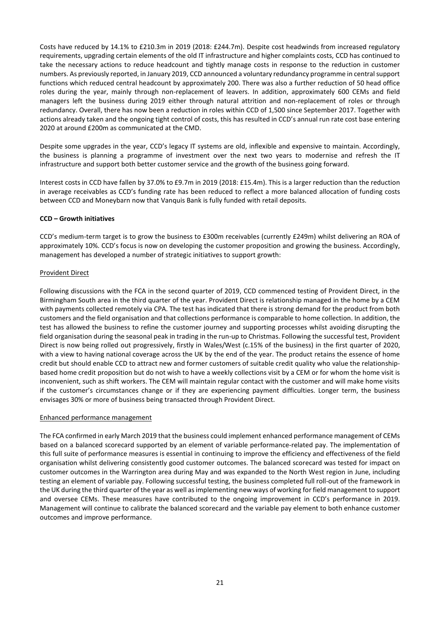Costs have reduced by 14.1% to £210.3m in 2019 (2018: £244.7m). Despite cost headwinds from increased regulatory requirements, upgrading certain elements of the old IT infrastructure and higher complaints costs, CCD has continued to take the necessary actions to reduce headcount and tightly manage costs in response to the reduction in customer numbers. As previously reported, in January 2019, CCD announced a voluntary redundancy programme in central support functions which reduced central headcount by approximately 200. There was also a further reduction of 50 head office roles during the year, mainly through non-replacement of leavers. In addition, approximately 600 CEMs and field managers left the business during 2019 either through natural attrition and non-replacement of roles or through redundancy. Overall, there has now been a reduction in roles within CCD of 1,500 since September 2017. Together with actions already taken and the ongoing tight control of costs, this has resulted in CCD's annual run rate cost base entering 2020 at around £200m as communicated at the CMD.

Despite some upgrades in the year, CCD's legacy IT systems are old, inflexible and expensive to maintain. Accordingly, the business is planning a programme of investment over the next two years to modernise and refresh the IT infrastructure and support both better customer service and the growth of the business going forward.

Interest costs in CCD have fallen by 37.0% to £9.7m in 2019 (2018: £15.4m). This is a larger reduction than the reduction in average receivables as CCD's funding rate has been reduced to reflect a more balanced allocation of funding costs between CCD and Moneybarn now that Vanquis Bank is fully funded with retail deposits.

## **CCD – Growth initiatives**

CCD's medium-term target is to grow the business to £300m receivables (currently £249m) whilst delivering an ROA of approximately 10%. CCD's focus is now on developing the customer proposition and growing the business. Accordingly, management has developed a number of strategic initiatives to support growth:

## Provident Direct

Following discussions with the FCA in the second quarter of 2019, CCD commenced testing of Provident Direct, in the Birmingham South area in the third quarter of the year. Provident Direct is relationship managed in the home by a CEM with payments collected remotely via CPA. The test has indicated that there is strong demand for the product from both customers and the field organisation and that collections performance is comparable to home collection. In addition, the test has allowed the business to refine the customer journey and supporting processes whilst avoiding disrupting the field organisation during the seasonal peak in trading in the run-up to Christmas. Following the successful test, Provident Direct is now being rolled out progressively, firstly in Wales/West (c.15% of the business) in the first quarter of 2020, with a view to having national coverage across the UK by the end of the year. The product retains the essence of home credit but should enable CCD to attract new and former customers of suitable credit quality who value the relationshipbased home credit proposition but do not wish to have a weekly collections visit by a CEM or for whom the home visit is inconvenient, such as shift workers. The CEM will maintain regular contact with the customer and will make home visits if the customer's circumstances change or if they are experiencing payment difficulties. Longer term, the business envisages 30% or more of business being transacted through Provident Direct.

## Enhanced performance management

The FCA confirmed in early March 2019 that the business could implement enhanced performance management of CEMs based on a balanced scorecard supported by an element of variable performance-related pay. The implementation of this full suite of performance measures is essential in continuing to improve the efficiency and effectiveness of the field organisation whilst delivering consistently good customer outcomes. The balanced scorecard was tested for impact on customer outcomes in the Warrington area during May and was expanded to the North West region in June, including testing an element of variable pay. Following successful testing, the business completed full roll-out of the framework in the UK during the third quarter of the year as well asimplementing new ways of working for field management to support and oversee CEMs. These measures have contributed to the ongoing improvement in CCD's performance in 2019. Management will continue to calibrate the balanced scorecard and the variable pay element to both enhance customer outcomes and improve performance.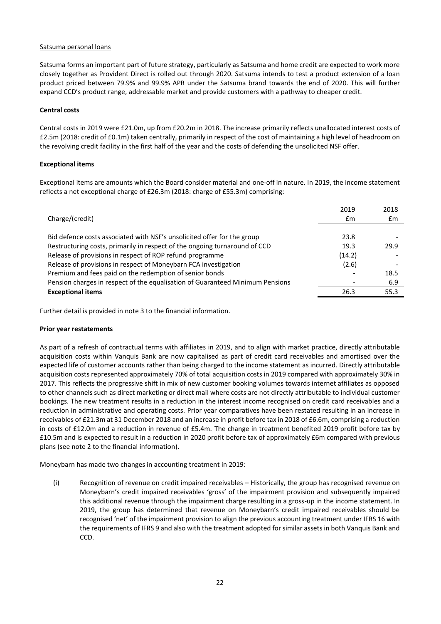## Satsuma personal loans

Satsuma forms an important part of future strategy, particularly as Satsuma and home credit are expected to work more closely together as Provident Direct is rolled out through 2020. Satsuma intends to test a product extension of a loan product priced between 79.9% and 99.9% APR under the Satsuma brand towards the end of 2020. This will further expand CCD's product range, addressable market and provide customers with a pathway to cheaper credit.

#### **Central costs**

Central costs in 2019 were £21.0m, up from £20.2m in 2018. The increase primarily reflects unallocated interest costs of £2.5m (2018: credit of £0.1m) taken centrally, primarily in respect of the cost of maintaining a high level of headroom on the revolving credit facility in the first half of the year and the costs of defending the unsolicited NSF offer.

#### **Exceptional items**

Exceptional items are amounts which the Board consider material and one-off in nature. In 2019, the income statement reflects a net exceptional charge of £26.3m (2018: charge of £55.3m) comprising:

|                                                                               | 2019   | 2018 |
|-------------------------------------------------------------------------------|--------|------|
| Charge/(credit)                                                               | £m     | £m   |
|                                                                               |        |      |
| Bid defence costs associated with NSF's unsolicited offer for the group       | 23.8   |      |
| Restructuring costs, primarily in respect of the ongoing turnaround of CCD    | 19.3   | 29.9 |
| Release of provisions in respect of ROP refund programme                      | (14.2) |      |
| Release of provisions in respect of Moneybarn FCA investigation               | (2.6)  |      |
| Premium and fees paid on the redemption of senior bonds                       |        | 18.5 |
| Pension charges in respect of the equalisation of Guaranteed Minimum Pensions |        | 6.9  |
| <b>Exceptional items</b>                                                      | 26.3   | 55.3 |
|                                                                               |        |      |

Further detail is provided in note 3 to the financial information.

#### **Prior year restatements**

As part of a refresh of contractual terms with affiliates in 2019, and to align with market practice, directly attributable acquisition costs within Vanquis Bank are now capitalised as part of credit card receivables and amortised over the expected life of customer accounts rather than being charged to the income statement as incurred. Directly attributable acquisition costs represented approximately 70% of total acquisition costs in 2019 compared with approximately 30% in 2017. This reflects the progressive shift in mix of new customer booking volumes towards internet affiliates as opposed to other channels such as direct marketing or direct mail where costs are not directly attributable to individual customer bookings. The new treatment results in a reduction in the interest income recognised on credit card receivables and a reduction in administrative and operating costs. Prior year comparatives have been restated resulting in an increase in receivables of £21.3m at 31 December 2018 and an increase in profit before tax in 2018 of £6.6m, comprising a reduction in costs of £12.0m and a reduction in revenue of £5.4m*.* The change in treatment benefited 2019 profit before tax by £10.5m and is expected to result in a reduction in 2020 profit before tax of approximately £6m compared with previous plans (see note 2 to the financial information).

Moneybarn has made two changes in accounting treatment in 2019:

(i) Recognition of revenue on credit impaired receivables – Historically, the group has recognised revenue on Moneybarn's credit impaired receivables 'gross' of the impairment provision and subsequently impaired this additional revenue through the impairment charge resulting in a gross-up in the income statement. In 2019, the group has determined that revenue on Moneybarn's credit impaired receivables should be recognised 'net' of the impairment provision to align the previous accounting treatment under IFRS 16 with the requirements of IFRS 9 and also with the treatment adopted for similar assets in both Vanquis Bank and CCD.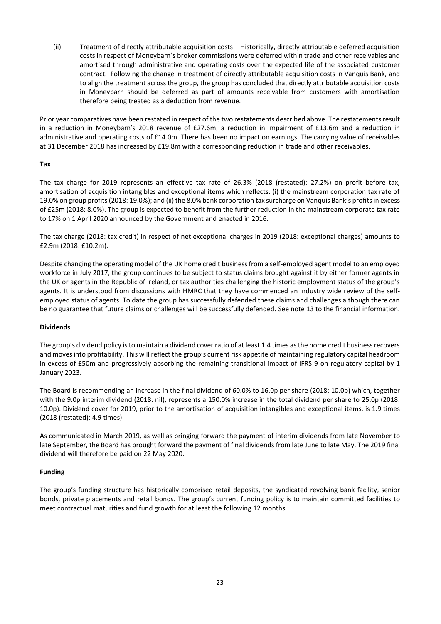(ii) Treatment of directly attributable acquisition costs – Historically, directly attributable deferred acquisition costs in respect of Moneybarn's broker commissions were deferred within trade and other receivables and amortised through administrative and operating costs over the expected life of the associated customer contract. Following the change in treatment of directly attributable acquisition costs in Vanquis Bank, and to align the treatment across the group, the group has concluded that directly attributable acquisition costs in Moneybarn should be deferred as part of amounts receivable from customers with amortisation therefore being treated as a deduction from revenue.

Prior year comparatives have been restated in respect of the two restatements described above. The restatements result in a reduction in Moneybarn's 2018 revenue of £27.6m, a reduction in impairment of £13.6m and a reduction in administrative and operating costs of £14.0m. There has been no impact on earnings. The carrying value of receivables at 31 December 2018 has increased by £19.8m with a corresponding reduction in trade and other receivables.

## **Tax**

The tax charge for 2019 represents an effective tax rate of 26.3% (2018 (restated): 27.2%) on profit before tax, amortisation of acquisition intangibles and exceptional items which reflects: (i) the mainstream corporation tax rate of 19.0% on group profits (2018: 19.0%); and (ii) the 8.0% bank corporation tax surcharge on Vanquis Bank's profits in excess of £25m (2018: 8.0%). The group is expected to benefit from the further reduction in the mainstream corporate tax rate to 17% on 1 April 2020 announced by the Government and enacted in 2016.

The tax charge (2018: tax credit) in respect of net exceptional charges in 2019 (2018: exceptional charges) amounts to £2.9m (2018: £10.2m).

Despite changing the operating model of the UK home credit business from a self-employed agent model to an employed workforce in July 2017, the group continues to be subject to status claims brought against it by either former agents in the UK or agents in the Republic of Ireland, or tax authorities challenging the historic employment status of the group's agents. It is understood from discussions with HMRC that they have commenced an industry wide review of the selfemployed status of agents. To date the group has successfully defended these claims and challenges although there can be no guarantee that future claims or challenges will be successfully defended. See note 13 to the financial information.

# **Dividends**

The group's dividend policy isto maintain a dividend cover ratio of at least 1.4 times as the home credit business recovers and moves into profitability. This will reflect the group's current risk appetite of maintaining regulatory capital headroom in excess of £50m and progressively absorbing the remaining transitional impact of IFRS 9 on regulatory capital by 1 January 2023.

The Board is recommending an increase in the final dividend of 60.0% to 16.0p per share (2018: 10.0p) which, together with the 9.0p interim dividend (2018: nil), represents a 150.0% increase in the total dividend per share to 25.0p (2018: 10.0p). Dividend cover for 2019, prior to the amortisation of acquisition intangibles and exceptional items, is 1.9 times (2018 (restated): 4.9 times).

As communicated in March 2019, as well as bringing forward the payment of interim dividends from late November to late September, the Board has brought forward the payment of final dividends from late June to late May. The 2019 final dividend will therefore be paid on 22 May 2020.

# **Funding**

The group's funding structure has historically comprised retail deposits, the syndicated revolving bank facility, senior bonds, private placements and retail bonds. The group's current funding policy is to maintain committed facilities to meet contractual maturities and fund growth for at least the following 12 months.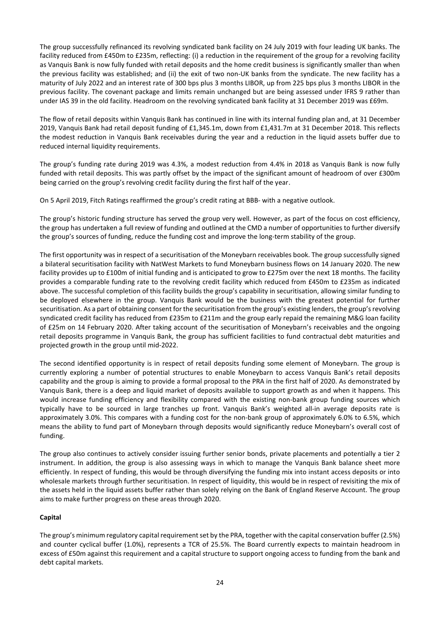The group successfully refinanced its revolving syndicated bank facility on 24 July 2019 with four leading UK banks. The facility reduced from £450m to £235m, reflecting: (i) a reduction in the requirement of the group for a revolving facility as Vanquis Bank is now fully funded with retail deposits and the home credit business is significantly smaller than when the previous facility was established; and (ii) the exit of two non-UK banks from the syndicate. The new facility has a maturity of July 2022 and an interest rate of 300 bps plus 3 months LIBOR, up from 225 bps plus 3 months LIBOR in the previous facility. The covenant package and limits remain unchanged but are being assessed under IFRS 9 rather than under IAS 39 in the old facility. Headroom on the revolving syndicated bank facility at 31 December 2019 was £69m.

The flow of retail deposits within Vanquis Bank has continued in line with its internal funding plan and, at 31 December 2019, Vanquis Bank had retail deposit funding of £1,345.1m, down from £1,431.7m at 31 December 2018. This reflects the modest reduction in Vanquis Bank receivables during the year and a reduction in the liquid assets buffer due to reduced internal liquidity requirements.

The group's funding rate during 2019 was 4.3%, a modest reduction from 4.4% in 2018 as Vanquis Bank is now fully funded with retail deposits. This was partly offset by the impact of the significant amount of headroom of over £300m being carried on the group's revolving credit facility during the first half of the year.

On 5 April 2019, Fitch Ratings reaffirmed the group's credit rating at BBB- with a negative outlook.

The group's historic funding structure has served the group very well. However, as part of the focus on cost efficiency, the group has undertaken a full review of funding and outlined at the CMD a number of opportunities to further diversify the group's sources of funding, reduce the funding cost and improve the long-term stability of the group.

The first opportunity was in respect of a securitisation of the Moneybarn receivables book. The group successfully signed a bilateral securitisation facility with NatWest Markets to fund Moneybarn business flows on 14 January 2020. The new facility provides up to £100m of initial funding and is anticipated to grow to £275m over the next 18 months. The facility provides a comparable funding rate to the revolving credit facility which reduced from £450m to £235m as indicated above. The successful completion of this facility builds the group's capability in securitisation, allowing similar funding to be deployed elsewhere in the group. Vanquis Bank would be the business with the greatest potential for further securitisation. As a part of obtaining consent for the securitisation from the group's existing lenders, the group's revolving syndicated credit facility has reduced from £235m to £211m and the group early repaid the remaining M&G loan facility of £25m on 14 February 2020. After taking account of the securitisation of Moneybarn's receivables and the ongoing retail deposits programme in Vanquis Bank, the group has sufficient facilities to fund contractual debt maturities and projected growth in the group until mid-2022.

The second identified opportunity is in respect of retail deposits funding some element of Moneybarn. The group is currently exploring a number of potential structures to enable Moneybarn to access Vanquis Bank's retail deposits capability and the group is aiming to provide a formal proposal to the PRA in the first half of 2020. As demonstrated by Vanquis Bank, there is a deep and liquid market of deposits available to support growth as and when it happens. This would increase funding efficiency and flexibility compared with the existing non-bank group funding sources which typically have to be sourced in large tranches up front. Vanquis Bank's weighted all-in average deposits rate is approximately 3.0%. This compares with a funding cost for the non-bank group of approximately 6.0% to 6.5%, which means the ability to fund part of Moneybarn through deposits would significantly reduce Moneybarn's overall cost of funding.

The group also continues to actively consider issuing further senior bonds, private placements and potentially a tier 2 instrument. In addition, the group is also assessing ways in which to manage the Vanquis Bank balance sheet more efficiently. In respect of funding, this would be through diversifying the funding mix into instant access deposits or into wholesale markets through further securitisation. In respect of liquidity, this would be in respect of revisiting the mix of the assets held in the liquid assets buffer rather than solely relying on the Bank of England Reserve Account. The group aims to make further progress on these areas through 2020.

## **Capital**

The group's minimum regulatory capital requirement set by the PRA, together with the capital conservation buffer (2.5%) and counter cyclical buffer (1.0%), represents a TCR of 25.5%. The Board currently expects to maintain headroom in excess of £50m against this requirement and a capital structure to support ongoing access to funding from the bank and debt capital markets.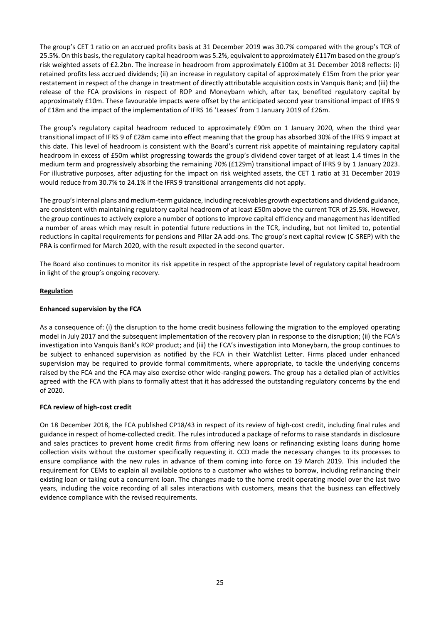The group's CET 1 ratio on an accrued profits basis at 31 December 2019 was 30.7% compared with the group's TCR of 25.5%. On this basis, the regulatory capital headroom was 5.2%, equivalent to approximately £117m based on the group's risk weighted assets of £2.2bn. The increase in headroom from approximately £100m at 31 December 2018 reflects: (i) retained profits less accrued dividends; (ii) an increase in regulatory capital of approximately £15m from the prior year restatement in respect of the change in treatment of directly attributable acquisition costs in Vanquis Bank; and (iii) the release of the FCA provisions in respect of ROP and Moneybarn which, after tax, benefited regulatory capital by approximately £10m. These favourable impacts were offset by the anticipated second year transitional impact of IFRS 9 of £18m and the impact of the implementation of IFRS 16 'Leases' from 1 January 2019 of £26m.

The group's regulatory capital headroom reduced to approximately £90m on 1 January 2020, when the third year transitional impact of IFRS 9 of £28m came into effect meaning that the group has absorbed 30% of the IFRS 9 impact at this date. This level of headroom is consistent with the Board's current risk appetite of maintaining regulatory capital headroom in excess of £50m whilst progressing towards the group's dividend cover target of at least 1.4 times in the medium term and progressively absorbing the remaining 70% (£129m) transitional impact of IFRS 9 by 1 January 2023. For illustrative purposes, after adjusting for the impact on risk weighted assets, the CET 1 ratio at 31 December 2019 would reduce from 30.7% to 24.1% if the IFRS 9 transitional arrangements did not apply.

The group'sinternal plans and medium-term guidance, including receivables growth expectations and dividend guidance, are consistent with maintaining regulatory capital headroom of at least £50m above the current TCR of 25.5%. However, the group continues to actively explore a number of options to improve capital efficiency and management has identified a number of areas which may result in potential future reductions in the TCR, including, but not limited to, potential reductions in capital requirements for pensions and Pillar 2A add-ons. The group's next capital review (C-SREP) with the PRA is confirmed for March 2020, with the result expected in the second quarter.

The Board also continues to monitor its risk appetite in respect of the appropriate level of regulatory capital headroom in light of the group's ongoing recovery.

# **Regulation**

# **Enhanced supervision by the FCA**

As a consequence of: (i) the disruption to the home credit business following the migration to the employed operating model in July 2017 and the subsequent implementation of the recovery plan in response to the disruption; (ii) the FCA's investigation into Vanquis Bank's ROP product; and (iii) the FCA's investigation into Moneybarn, the group continues to be subject to enhanced supervision as notified by the FCA in their Watchlist Letter. Firms placed under enhanced supervision may be required to provide formal commitments, where appropriate, to tackle the underlying concerns raised by the FCA and the FCA may also exercise other wide-ranging powers. The group has a detailed plan of activities agreed with the FCA with plans to formally attest that it has addressed the outstanding regulatory concerns by the end of 2020.

## **FCA review of high-cost credit**

On 18 December 2018, the FCA published CP18/43 in respect of its review of high-cost credit, including final rules and guidance in respect of home-collected credit. The rules introduced a package of reforms to raise standards in disclosure and sales practices to prevent home credit firms from offering new loans or refinancing existing loans during home collection visits without the customer specifically requesting it. CCD made the necessary changes to its processes to ensure compliance with the new rules in advance of them coming into force on 19 March 2019. This included the requirement for CEMs to explain all available options to a customer who wishes to borrow, including refinancing their existing loan or taking out a concurrent loan. The changes made to the home credit operating model over the last two years, including the voice recording of all sales interactions with customers, means that the business can effectively evidence compliance with the revised requirements.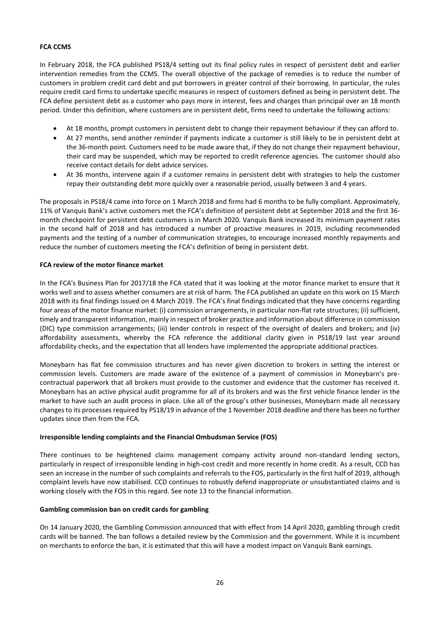## **FCA CCMS**

In February 2018, the FCA published PS18/4 setting out its final policy rules in respect of persistent debt and earlier intervention remedies from the CCMS. The overall objective of the package of remedies is to reduce the number of customers in problem credit card debt and put borrowers in greater control of their borrowing. In particular, the rules require credit card firms to undertake specific measures in respect of customers defined as being in persistent debt. The FCA define persistent debt as a customer who pays more in interest, fees and charges than principal over an 18 month period. Under this definition, where customers are in persistent debt, firms need to undertake the following actions:

- At 18 months, prompt customers in persistent debt to change their repayment behaviour if they can afford to.
- At 27 months, send another reminder if payments indicate a customer is still likely to be in persistent debt at the 36-month point. Customers need to be made aware that, if they do not change their repayment behaviour, their card may be suspended, which may be reported to credit reference agencies. The customer should also receive contact details for debt advice services.
- At 36 months, intervene again if a customer remains in persistent debt with strategies to help the customer repay their outstanding debt more quickly over a reasonable period, usually between 3 and 4 years.

The proposals in PS18/4 came into force on 1 March 2018 and firms had 6 months to be fully compliant. Approximately, 11% of Vanquis Bank's active customers met the FCA's definition of persistent debt at September 2018 and the first 36 month checkpoint for persistent debt customers is in March 2020. Vanquis Bank increased its minimum payment rates in the second half of 2018 and has introduced a number of proactive measures in 2019, including recommended payments and the testing of a number of communication strategies, to encourage increased monthly repayments and reduce the number of customers meeting the FCA's definition of being in persistent debt.

## **FCA review of the motor finance market**

In the FCA's Business Plan for 2017/18 the FCA stated that it was looking at the motor finance market to ensure that it works well and to assess whether consumers are at risk of harm. The FCA published an update on this work on 15 March 2018 with its final findings issued on 4 March 2019. The FCA's final findings indicated that they have concerns regarding four areas of the motor finance market: (i) commission arrangements, in particular non-flat rate structures; (ii) sufficient, timely and transparent information, mainly in respect of broker practice and information about difference in commission (DIC) type commission arrangements; (iii) lender controls in respect of the oversight of dealers and brokers; and (iv) affordability assessments, whereby the FCA reference the additional clarity given in PS18/19 last year around affordability checks, and the expectation that all lenders have implemented the appropriate additional practices.

Moneybarn has flat fee commission structures and has never given discretion to brokers in setting the interest or commission levels. Customers are made aware of the existence of a payment of commission in Moneybarn's precontractual paperwork that all brokers must provide to the customer and evidence that the customer has received it. Moneybarn has an active physical audit programme for all of its brokers and was the first vehicle finance lender in the market to have such an audit process in place. Like all of the group's other businesses, Moneybarn made all necessary changes to its processes required by PS18/19 in advance of the 1 November 2018 deadline and there has been no further updates since then from the FCA.

## **Irresponsible lending complaints and the Financial Ombudsman Service (FOS)**

There continues to be heightened claims management company activity around non-standard lending sectors, particularly in respect of irresponsible lending in high-cost credit and more recently in home credit. As a result, CCD has seen an increase in the number of such complaints and referrals to the FOS, particularly in the first half of 2019, although complaint levels have now stabilised. CCD continues to robustly defend inappropriate or unsubstantiated claims and is working closely with the FOS in this regard. See note 13 to the financial information.

## **Gambling commission ban on credit cards for gambling**

On 14 January 2020, the Gambling Commission announced that with effect from 14 April 2020, gambling through credit cards will be banned. The ban follows a detailed review by the Commission and the government. While it is incumbent on merchants to enforce the ban, it is estimated that this will have a modest impact on Vanquis Bank earnings.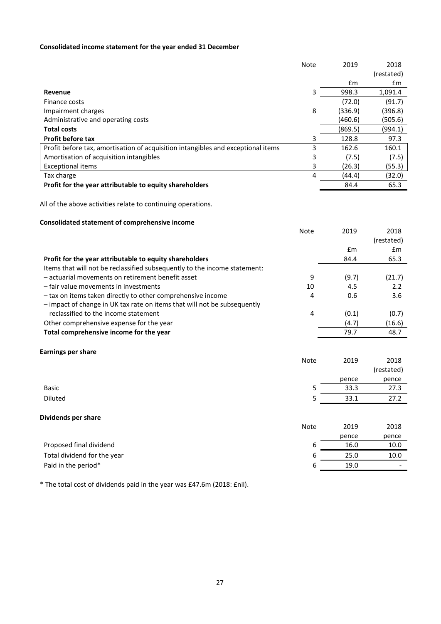# **Consolidated income statement for the year ended 31 December**

|                                                                                  | <b>Note</b> | 2019    | 2018       |
|----------------------------------------------------------------------------------|-------------|---------|------------|
|                                                                                  |             |         | (restated) |
|                                                                                  |             | Em      | £m         |
| Revenue                                                                          | 3           | 998.3   | 1,091.4    |
| Finance costs                                                                    |             | (72.0)  | (91.7)     |
| Impairment charges                                                               | 8           | (336.9) | (396.8)    |
| Administrative and operating costs                                               |             | (460.6) | (505.6)    |
| <b>Total costs</b>                                                               |             | (869.5) | (994.1)    |
| <b>Profit before tax</b>                                                         | 3           | 128.8   | 97.3       |
| Profit before tax, amortisation of acquisition intangibles and exceptional items | 3           | 162.6   | 160.1      |
| Amortisation of acquisition intangibles                                          | 3           | (7.5)   | (7.5)      |
| <b>Exceptional items</b>                                                         | 3.          | (26.3)  | (55.3)     |
| Tax charge                                                                       | 4           | (44.4)  | (32.0)     |
| Profit for the year attributable to equity shareholders                          |             | 84.4    | 65.3       |

Note 2019 2018

All of the above activities relate to continuing operations.

# **Consolidated statement of comprehensive income**

|                                                                           |             |       | (restated) |
|---------------------------------------------------------------------------|-------------|-------|------------|
|                                                                           |             | Em    | £m         |
| Profit for the year attributable to equity shareholders                   |             | 84.4  | 65.3       |
| Items that will not be reclassified subsequently to the income statement: |             |       |            |
| - actuarial movements on retirement benefit asset                         | 9           | (9.7) | (21.7)     |
| - fair value movements in investments                                     | 10          | 4.5   | 2.2        |
| - tax on items taken directly to other comprehensive income               | 4           | 0.6   | 3.6        |
| - impact of change in UK tax rate on items that will not be subsequently  |             |       |            |
| reclassified to the income statement                                      | 4           | (0.1) | (0.7)      |
| Other comprehensive expense for the year                                  |             | (4.7) | (16.6)     |
| Total comprehensive income for the year                                   |             | 79.7  | 48.7       |
|                                                                           |             |       |            |
| <b>Earnings per share</b>                                                 | <b>Note</b> | 2019  | 2018       |
|                                                                           |             |       | (restated) |
|                                                                           |             | pence | pence      |
| <b>Basic</b>                                                              | 5           | 33.3  | 27.3       |
|                                                                           |             |       |            |
| <b>Diluted</b>                                                            | 5           | 33.1  | 27.2       |
| Dividends per share                                                       |             |       |            |
|                                                                           | <b>Note</b> | 2019  | 2018       |
|                                                                           |             |       |            |
|                                                                           |             | pence | pence      |
| Proposed final dividend                                                   | 6           | 16.0  | 10.0       |
| Total dividend for the year                                               | 6           | 25.0  | 10.0       |

Paid in the period\* 6 19.0 -

\* The total cost of dividends paid in the year was £47.6m (2018: £nil).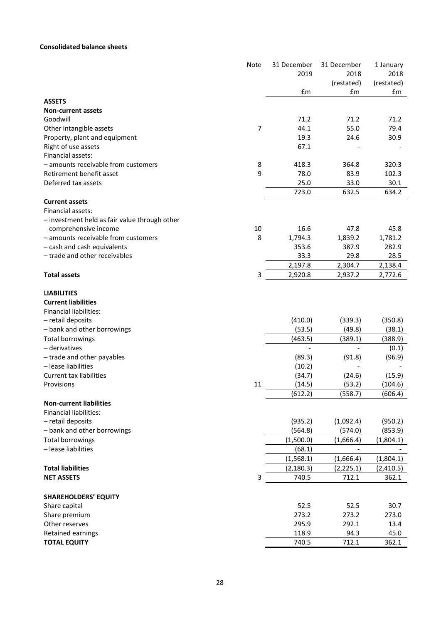# **Consolidated balance sheets**

|                                                      | <b>Note</b>    | 31 December  | 31 December  | 1 January    |
|------------------------------------------------------|----------------|--------------|--------------|--------------|
|                                                      |                | 2019         | 2018         | 2018         |
|                                                      |                |              | (restated)   | (restated)   |
|                                                      |                | £m           | £m           | £m           |
| <b>ASSETS</b>                                        |                |              |              |              |
| <b>Non-current assets</b>                            |                |              |              |              |
| Goodwill                                             | $\overline{7}$ | 71.2<br>44.1 | 71.2<br>55.0 | 71.2<br>79.4 |
| Other intangible assets                              |                | 19.3         |              |              |
| Property, plant and equipment<br>Right of use assets |                | 67.1         | 24.6         | 30.9         |
| Financial assets:                                    |                |              |              |              |
| - amounts receivable from customers                  | 8              | 418.3        | 364.8        | 320.3        |
| Retirement benefit asset                             | 9              | 78.0         | 83.9         | 102.3        |
| Deferred tax assets                                  |                | 25.0         | 33.0         | 30.1         |
|                                                      |                | 723.0        | 632.5        | 634.2        |
| <b>Current assets</b>                                |                |              |              |              |
| Financial assets:                                    |                |              |              |              |
| - investment held as fair value through other        |                |              |              |              |
| comprehensive income                                 | 10             | 16.6         | 47.8         | 45.8         |
| - amounts receivable from customers                  | 8              | 1,794.3      | 1,839.2      | 1,781.2      |
| - cash and cash equivalents                          |                | 353.6        | 387.9        | 282.9        |
| - trade and other receivables                        |                | 33.3         | 29.8         | 28.5         |
|                                                      |                | 2,197.8      | 2,304.7      | 2,138.4      |
| <b>Total assets</b>                                  | 3              | 2,920.8      | 2,937.2      | 2,772.6      |
|                                                      |                |              |              |              |
| <b>LIABILITIES</b>                                   |                |              |              |              |
| <b>Current liabilities</b>                           |                |              |              |              |
| <b>Financial liabilities:</b>                        |                |              |              |              |
| - retail deposits                                    |                | (410.0)      | (339.3)      | (350.8)      |
| - bank and other borrowings                          |                | (53.5)       | (49.8)       | (38.1)       |
| <b>Total borrowings</b>                              |                | (463.5)      | (389.1)      | (388.9)      |
| - derivatives                                        |                |              |              | (0.1)        |
| - trade and other payables                           |                | (89.3)       | (91.8)       | (96.9)       |
| - lease liabilities                                  |                | (10.2)       |              |              |
| <b>Current tax liabilities</b>                       |                | (34.7)       | (24.6)       | (15.9)       |
| Provisions                                           | 11             | (14.5)       | (53.2)       | (104.6)      |
|                                                      |                | (612.2)      | (558.7)      | (606.4)      |
| <b>Non-current liabilities</b>                       |                |              |              |              |
| <b>Financial liabilities:</b>                        |                |              |              |              |
| - retail deposits                                    |                | (935.2)      | (1,092.4)    | (950.2)      |
| - bank and other borrowings                          |                | (564.8)      | (574.0)      | (853.9)      |
| <b>Total borrowings</b>                              |                | (1,500.0)    | (1,666.4)    | (1,804.1)    |
| - lease liabilities                                  |                | (68.1)       |              |              |
|                                                      |                | (1,568.1)    | (1,666.4)    | (1,804.1)    |
| <b>Total liabilities</b>                             |                | (2, 180.3)   | (2, 225.1)   | (2,410.5)    |
| <b>NET ASSETS</b>                                    | 3              | 740.5        | 712.1        | 362.1        |
|                                                      |                |              |              |              |
| <b>SHAREHOLDERS' EQUITY</b>                          |                |              |              |              |
| Share capital                                        |                | 52.5         | 52.5         | 30.7         |
| Share premium                                        |                | 273.2        | 273.2        | 273.0        |
| Other reserves                                       |                | 295.9        | 292.1        | 13.4         |
| Retained earnings                                    |                | 118.9        | 94.3         | 45.0         |
| <b>TOTAL EQUITY</b>                                  |                | 740.5        | 712.1        | 362.1        |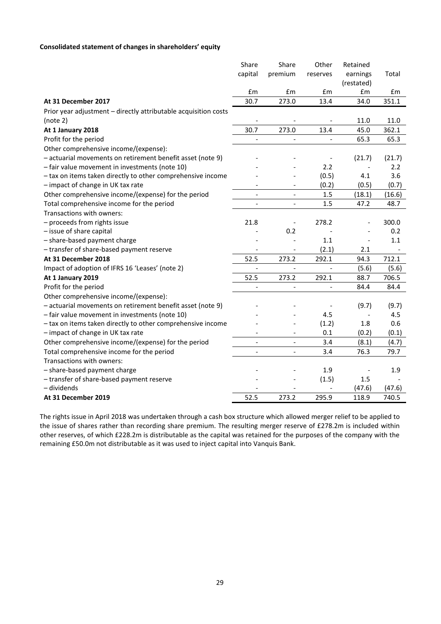# **Consolidated statement of changes in shareholders' equity**

|                                                                 | Share                    | Share                        | Other                    | Retained   |        |
|-----------------------------------------------------------------|--------------------------|------------------------------|--------------------------|------------|--------|
|                                                                 | capital                  | premium                      | reserves                 | earnings   | Total  |
|                                                                 |                          |                              |                          | (restated) |        |
|                                                                 | £m                       | £m                           | £m                       | £m         | £m     |
| At 31 December 2017                                             | 30.7                     | 273.0                        | 13.4                     | 34.0       | 351.1  |
| Prior year adjustment - directly attributable acquisition costs |                          |                              |                          |            |        |
| (note 2)                                                        |                          |                              |                          | 11.0       | 11.0   |
| At 1 January 2018                                               | 30.7                     | 273.0                        | 13.4                     | 45.0       | 362.1  |
| Profit for the period                                           |                          |                              |                          | 65.3       | 65.3   |
| Other comprehensive income/(expense):                           |                          |                              |                          |            |        |
| - actuarial movements on retirement benefit asset (note 9)      |                          |                              |                          | (21.7)     | (21.7) |
| - fair value movement in investments (note 10)                  |                          |                              | 2.2                      |            | 2.2    |
| - tax on items taken directly to other comprehensive income     |                          |                              | (0.5)                    | 4.1        | 3.6    |
| - impact of change in UK tax rate                               |                          |                              | (0.2)                    | (0.5)      | (0.7)  |
| Other comprehensive income/(expense) for the period             | $\overline{\phantom{a}}$ |                              | 1.5                      | (18.1)     | (16.6) |
| Total comprehensive income for the period                       | $\overline{a}$           | $\overline{a}$               | 1.5                      | 47.2       | 48.7   |
| Transactions with owners:                                       |                          |                              |                          |            |        |
| - proceeds from rights issue                                    | 21.8                     |                              | 278.2                    |            | 300.0  |
| - issue of share capital                                        |                          | 0.2                          |                          |            | 0.2    |
| - share-based payment charge                                    |                          |                              | 1.1                      |            | 1.1    |
| - transfer of share-based payment reserve                       |                          |                              | (2.1)                    | 2.1        |        |
| At 31 December 2018                                             | 52.5                     | 273.2                        | 292.1                    | 94.3       | 712.1  |
| Impact of adoption of IFRS 16 'Leases' (note 2)                 |                          |                              |                          | (5.6)      | (5.6)  |
| At 1 January 2019                                               | 52.5                     | 273.2                        | 292.1                    | 88.7       | 706.5  |
| Profit for the period                                           | $\frac{1}{2}$            | $\qquad \qquad \blacksquare$ | $\overline{\phantom{a}}$ | 84.4       | 84.4   |
| Other comprehensive income/(expense):                           |                          |                              |                          |            |        |
| - actuarial movements on retirement benefit asset (note 9)      |                          |                              |                          | (9.7)      | (9.7)  |
| - fair value movement in investments (note 10)                  |                          |                              | 4.5                      |            | 4.5    |
| - tax on items taken directly to other comprehensive income     |                          |                              | (1.2)                    | 1.8        | 0.6    |
| - impact of change in UK tax rate                               |                          | $\overline{\phantom{a}}$     | 0.1                      | (0.2)      | (0.1)  |
| Other comprehensive income/(expense) for the period             | $\overline{\phantom{a}}$ | $\overline{\phantom{a}}$     | 3.4                      | (8.1)      | (4.7)  |
| Total comprehensive income for the period                       | $\blacksquare$           | $\overline{\phantom{a}}$     | 3.4                      | 76.3       | 79.7   |
| Transactions with owners:                                       |                          |                              |                          |            |        |
| - share-based payment charge                                    |                          |                              | 1.9                      |            | 1.9    |
| - transfer of share-based payment reserve                       |                          |                              | (1.5)                    | 1.5        |        |
| - dividends                                                     |                          |                              |                          | (47.6)     | (47.6) |
| At 31 December 2019                                             | 52.5                     | 273.2                        | 295.9                    | 118.9      | 740.5  |

The rights issue in April 2018 was undertaken through a cash box structure which allowed merger relief to be applied to the issue of shares rather than recording share premium. The resulting merger reserve of £278.2m is included within other reserves, of which £228.2m is distributable as the capital was retained for the purposes of the company with the remaining £50.0m not distributable as it was used to inject capital into Vanquis Bank.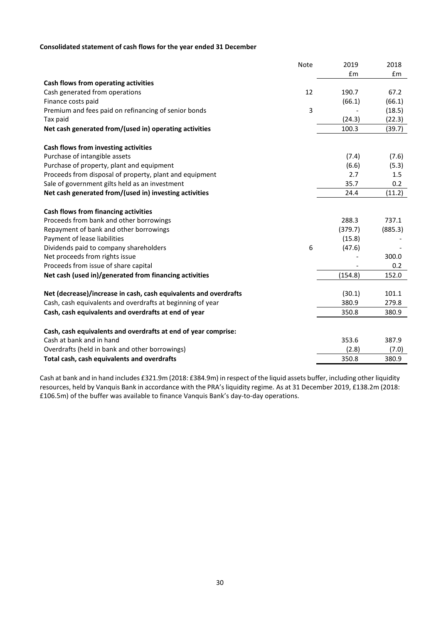# **Consolidated statement of cash flows for the year ended 31 December**

| Note                                                             | 2019    | 2018          |
|------------------------------------------------------------------|---------|---------------|
|                                                                  | £m      | $\mathsf{fm}$ |
| Cash flows from operating activities                             |         |               |
| Cash generated from operations<br>12                             | 190.7   | 67.2          |
| Finance costs paid                                               | (66.1)  | (66.1)        |
| 3<br>Premium and fees paid on refinancing of senior bonds        |         | (18.5)        |
| Tax paid                                                         | (24.3)  | (22.3)        |
| Net cash generated from/(used in) operating activities           | 100.3   | (39.7)        |
| Cash flows from investing activities                             |         |               |
| Purchase of intangible assets                                    | (7.4)   | (7.6)         |
| Purchase of property, plant and equipment                        | (6.6)   | (5.3)         |
| Proceeds from disposal of property, plant and equipment          | 2.7     | 1.5           |
| Sale of government gilts held as an investment                   | 35.7    | 0.2           |
| Net cash generated from/(used in) investing activities           | 24.4    | (11.2)        |
| Cash flows from financing activities                             |         |               |
| Proceeds from bank and other borrowings                          | 288.3   | 737.1         |
| Repayment of bank and other borrowings                           | (379.7) | (885.3)       |
| Payment of lease liabilities                                     | (15.8)  |               |
| Dividends paid to company shareholders<br>6                      | (47.6)  |               |
| Net proceeds from rights issue                                   |         | 300.0         |
| Proceeds from issue of share capital                             |         | 0.2           |
| Net cash (used in)/generated from financing activities           | (154.8) | 152.0         |
|                                                                  |         | 101.1         |
| Net (decrease)/increase in cash, cash equivalents and overdrafts | (30.1)  | 279.8         |
| Cash, cash equivalents and overdrafts at beginning of year       | 380.9   |               |
| Cash, cash equivalents and overdrafts at end of year             | 350.8   | 380.9         |
| Cash, cash equivalents and overdrafts at end of year comprise:   |         |               |
| Cash at bank and in hand                                         | 353.6   | 387.9         |
| Overdrafts (held in bank and other borrowings)                   | (2.8)   | (7.0)         |
| Total cash, cash equivalents and overdrafts                      | 350.8   | 380.9         |

Cash at bank and in hand includes £321.9m (2018: £384.9m) in respect of the liquid assets buffer, including other liquidity resources, held by Vanquis Bank in accordance with the PRA's liquidity regime. As at 31 December 2019, £138.2m (2018: £106.5m) of the buffer was available to finance Vanquis Bank's day-to-day operations.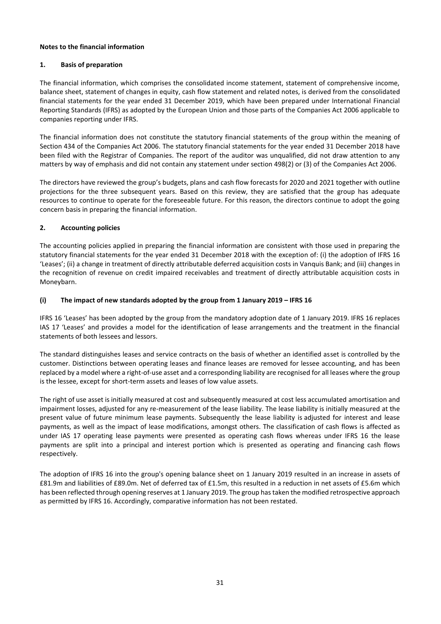## **Notes to the financial information**

# **1. Basis of preparation**

The financial information, which comprises the consolidated income statement, statement of comprehensive income, balance sheet, statement of changes in equity, cash flow statement and related notes, is derived from the consolidated financial statements for the year ended 31 December 2019, which have been prepared under International Financial Reporting Standards (IFRS) as adopted by the European Union and those parts of the Companies Act 2006 applicable to companies reporting under IFRS.

The financial information does not constitute the statutory financial statements of the group within the meaning of Section 434 of the Companies Act 2006. The statutory financial statements for the year ended 31 December 2018 have been filed with the Registrar of Companies. The report of the auditor was unqualified, did not draw attention to any matters by way of emphasis and did not contain any statement under section 498(2) or (3) of the Companies Act 2006.

The directors have reviewed the group's budgets, plans and cash flow forecasts for 2020 and 2021 together with outline projections for the three subsequent years. Based on this review, they are satisfied that the group has adequate resources to continue to operate for the foreseeable future. For this reason, the directors continue to adopt the going concern basis in preparing the financial information.

# **2. Accounting policies**

The accounting policies applied in preparing the financial information are consistent with those used in preparing the statutory financial statements for the year ended 31 December 2018 with the exception of: (i) the adoption of IFRS 16 'Leases'; (ii) a change in treatment of directly attributable deferred acquisition costs in Vanquis Bank; and (iii) changes in the recognition of revenue on credit impaired receivables and treatment of directly attributable acquisition costs in Moneybarn.

# **(i) The impact of new standards adopted by the group from 1 January 2019 – IFRS 16**

IFRS 16 'Leases' has been adopted by the group from the mandatory adoption date of 1 January 2019. IFRS 16 replaces IAS 17 'Leases' and provides a model for the identification of lease arrangements and the treatment in the financial statements of both lessees and lessors.

The standard distinguishes leases and service contracts on the basis of whether an identified asset is controlled by the customer. Distinctions between operating leases and finance leases are removed for lessee accounting, and has been replaced by a model where a right-of-use asset and a corresponding liability are recognised for all leases where the group is the lessee, except for short-term assets and leases of low value assets.

The right of use asset is initially measured at cost and subsequently measured at cost less accumulated amortisation and impairment losses, adjusted for any re-measurement of the lease liability. The lease liability is initially measured at the present value of future minimum lease payments. Subsequently the lease liability is adjusted for interest and lease payments, as well as the impact of lease modifications, amongst others. The classification of cash flows is affected as under IAS 17 operating lease payments were presented as operating cash flows whereas under IFRS 16 the lease payments are split into a principal and interest portion which is presented as operating and financing cash flows respectively.

The adoption of IFRS 16 into the group's opening balance sheet on 1 January 2019 resulted in an increase in assets of £81.9m and liabilities of £89.0m. Net of deferred tax of £1.5m, this resulted in a reduction in net assets of £5.6m which has been reflected through opening reserves at 1 January 2019. The group has taken the modified retrospective approach as permitted by IFRS 16. Accordingly, comparative information has not been restated.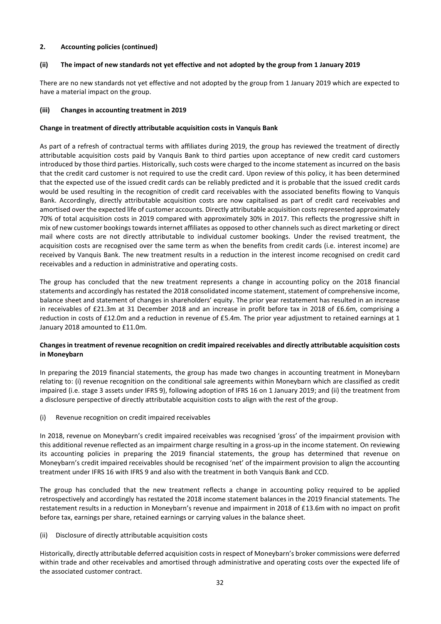## **2. Accounting policies (continued)**

# **(ii) The impact of new standards not yet effective and not adopted by the group from 1 January 2019**

There are no new standards not yet effective and not adopted by the group from 1 January 2019 which are expected to have a material impact on the group.

#### **(iii) Changes in accounting treatment in 2019**

#### **Change in treatment of directly attributable acquisition costs in Vanquis Bank**

As part of a refresh of contractual terms with affiliates during 2019, the group has reviewed the treatment of directly attributable acquisition costs paid by Vanquis Bank to third parties upon acceptance of new credit card customers introduced by those third parties. Historically, such costs were charged to the income statement as incurred on the basis that the credit card customer is not required to use the credit card. Upon review of this policy, it has been determined that the expected use of the issued credit cards can be reliably predicted and it is probable that the issued credit cards would be used resulting in the recognition of credit card receivables with the associated benefits flowing to Vanquis Bank. Accordingly, directly attributable acquisition costs are now capitalised as part of credit card receivables and amortised over the expected life of customer accounts. Directly attributable acquisition costs represented approximately 70% of total acquisition costs in 2019 compared with approximately 30% in 2017. This reflects the progressive shift in mix of new customer bookings towards internet affiliates as opposed to other channels such as direct marketing or direct mail where costs are not directly attributable to individual customer bookings. Under the revised treatment, the acquisition costs are recognised over the same term as when the benefits from credit cards (i.e. interest income) are received by Vanquis Bank. The new treatment results in a reduction in the interest income recognised on credit card receivables and a reduction in administrative and operating costs.

The group has concluded that the new treatment represents a change in accounting policy on the 2018 financial statements and accordingly hasrestated the 2018 consolidated income statement, statement of comprehensive income, balance sheet and statement of changes in shareholders' equity. The prior year restatement has resulted in an increase in receivables of £21.3m at 31 December 2018 and an increase in profit before tax in 2018 of £6.6m, comprising a reduction in costs of £12.0m and a reduction in revenue of £5.4m. The prior year adjustment to retained earnings at 1 January 2018 amounted to £11.0m.

# **Changes in treatment of revenue recognition on credit impaired receivables and directly attributable acquisition costs in Moneybarn**

In preparing the 2019 financial statements, the group has made two changes in accounting treatment in Moneybarn relating to: (i) revenue recognition on the conditional sale agreements within Moneybarn which are classified as credit impaired (i.e. stage 3 assets under IFRS 9), following adoption of IFRS 16 on 1 January 2019; and (ii) the treatment from a disclosure perspective of directly attributable acquisition costs to align with the rest of the group.

(i) Revenue recognition on credit impaired receivables

In 2018, revenue on Moneybarn's credit impaired receivables was recognised 'gross' of the impairment provision with this additional revenue reflected as an impairment charge resulting in a gross-up in the income statement. On reviewing its accounting policies in preparing the 2019 financial statements, the group has determined that revenue on Moneybarn's credit impaired receivables should be recognised 'net' of the impairment provision to align the accounting treatment under IFRS 16 with IFRS 9 and also with the treatment in both Vanquis Bank and CCD.

The group has concluded that the new treatment reflects a change in accounting policy required to be applied retrospectively and accordingly has restated the 2018 income statement balances in the 2019 financial statements. The restatement results in a reduction in Moneybarn's revenue and impairment in 2018 of £13.6m with no impact on profit before tax, earnings per share, retained earnings or carrying values in the balance sheet.

## (ii) Disclosure of directly attributable acquisition costs

Historically, directly attributable deferred acquisition costs in respect of Moneybarn's broker commissions were deferred within trade and other receivables and amortised through administrative and operating costs over the expected life of the associated customer contract.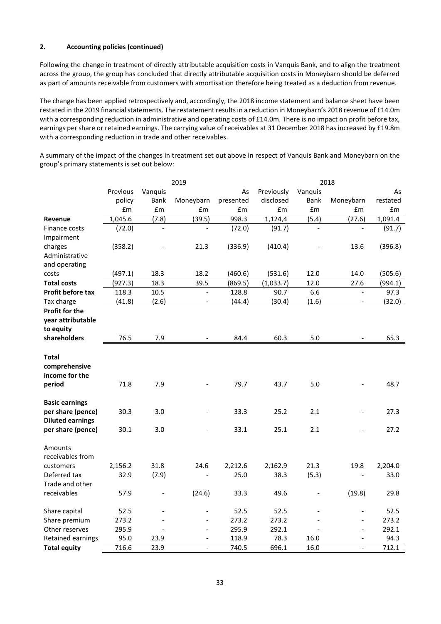# **2. Accounting policies (continued)**

Following the change in treatment of directly attributable acquisition costs in Vanquis Bank, and to align the treatment across the group, the group has concluded that directly attributable acquisition costs in Moneybarn should be deferred as part of amounts receivable from customers with amortisation therefore being treated as a deduction from revenue.

The change has been applied retrospectively and, accordingly, the 2018 income statement and balance sheet have been restated in the 2019 financial statements. The restatement results in a reduction in Moneybarn's 2018 revenue of £14.0m with a corresponding reduction in administrative and operating costs of £14.0m. There is no impact on profit before tax, earnings per share or retained earnings. The carrying value of receivables at 31 December 2018 has increased by £19.8m with a corresponding reduction in trade and other receivables.

A summary of the impact of the changes in treatment set out above in respect of Vanquis Bank and Moneybarn on the group's primary statements is set out below:

| Previous<br>Previously<br>Vanquis<br>Vanguis<br>As<br>As<br><b>Bank</b><br>Moneybarn<br>disclosed<br>Bank<br>Moneybarn<br>policy<br>presented<br>restated<br>£m<br>£m<br>£m<br>$\pmb{\text{f}}\pmb{\text{m}}$<br>£m<br>£m<br>$\pmb{\text{f}}\pmb{\text{m}}$<br>£m<br>1,045.6<br>998.3<br>1,124,4<br>(5.4)<br>(7.8)<br>(39.5)<br>(27.6)<br>1,091.4<br>Revenue<br>(72.0)<br>(72.0)<br>(91.7)<br>(91.7)<br>Finance costs<br>Impairment<br>charges<br>(358.2)<br>21.3<br>(336.9)<br>(410.4)<br>13.6<br>(396.8)<br>Administrative<br>and operating<br>(497.1)<br>18.3<br>18.2<br>(460.6)<br>(531.6)<br>12.0<br>14.0<br>(505.6)<br>costs<br>(927.3)<br>18.3<br>39.5<br>(869.5)<br>12.0<br>27.6<br><b>Total costs</b><br>(1,033.7)<br>(994.1)<br>10.5<br>6.6<br>118.3<br>128.8<br>90.7<br>97.3<br><b>Profit before tax</b><br>$\equiv$<br>$\equiv$<br>Tax charge<br>(41.8)<br>(2.6)<br>(44.4)<br>(30.4)<br>(1.6)<br>(32.0)<br>$\overline{\phantom{a}}$<br>$\blacksquare$<br>Profit for the<br>year attributable<br>to equity<br>shareholders<br>76.5<br>7.9<br>84.4<br>5.0<br>65.3<br>60.3<br><b>Total</b><br>comprehensive<br>income for the<br>79.7<br>48.7<br>period<br>71.8<br>7.9<br>43.7<br>5.0<br><b>Basic earnings</b> |
|-------------------------------------------------------------------------------------------------------------------------------------------------------------------------------------------------------------------------------------------------------------------------------------------------------------------------------------------------------------------------------------------------------------------------------------------------------------------------------------------------------------------------------------------------------------------------------------------------------------------------------------------------------------------------------------------------------------------------------------------------------------------------------------------------------------------------------------------------------------------------------------------------------------------------------------------------------------------------------------------------------------------------------------------------------------------------------------------------------------------------------------------------------------------------------------------------------------------------|
|                                                                                                                                                                                                                                                                                                                                                                                                                                                                                                                                                                                                                                                                                                                                                                                                                                                                                                                                                                                                                                                                                                                                                                                                                         |
|                                                                                                                                                                                                                                                                                                                                                                                                                                                                                                                                                                                                                                                                                                                                                                                                                                                                                                                                                                                                                                                                                                                                                                                                                         |
|                                                                                                                                                                                                                                                                                                                                                                                                                                                                                                                                                                                                                                                                                                                                                                                                                                                                                                                                                                                                                                                                                                                                                                                                                         |
|                                                                                                                                                                                                                                                                                                                                                                                                                                                                                                                                                                                                                                                                                                                                                                                                                                                                                                                                                                                                                                                                                                                                                                                                                         |
|                                                                                                                                                                                                                                                                                                                                                                                                                                                                                                                                                                                                                                                                                                                                                                                                                                                                                                                                                                                                                                                                                                                                                                                                                         |
|                                                                                                                                                                                                                                                                                                                                                                                                                                                                                                                                                                                                                                                                                                                                                                                                                                                                                                                                                                                                                                                                                                                                                                                                                         |
|                                                                                                                                                                                                                                                                                                                                                                                                                                                                                                                                                                                                                                                                                                                                                                                                                                                                                                                                                                                                                                                                                                                                                                                                                         |
|                                                                                                                                                                                                                                                                                                                                                                                                                                                                                                                                                                                                                                                                                                                                                                                                                                                                                                                                                                                                                                                                                                                                                                                                                         |
|                                                                                                                                                                                                                                                                                                                                                                                                                                                                                                                                                                                                                                                                                                                                                                                                                                                                                                                                                                                                                                                                                                                                                                                                                         |
|                                                                                                                                                                                                                                                                                                                                                                                                                                                                                                                                                                                                                                                                                                                                                                                                                                                                                                                                                                                                                                                                                                                                                                                                                         |
|                                                                                                                                                                                                                                                                                                                                                                                                                                                                                                                                                                                                                                                                                                                                                                                                                                                                                                                                                                                                                                                                                                                                                                                                                         |
|                                                                                                                                                                                                                                                                                                                                                                                                                                                                                                                                                                                                                                                                                                                                                                                                                                                                                                                                                                                                                                                                                                                                                                                                                         |
|                                                                                                                                                                                                                                                                                                                                                                                                                                                                                                                                                                                                                                                                                                                                                                                                                                                                                                                                                                                                                                                                                                                                                                                                                         |
|                                                                                                                                                                                                                                                                                                                                                                                                                                                                                                                                                                                                                                                                                                                                                                                                                                                                                                                                                                                                                                                                                                                                                                                                                         |
|                                                                                                                                                                                                                                                                                                                                                                                                                                                                                                                                                                                                                                                                                                                                                                                                                                                                                                                                                                                                                                                                                                                                                                                                                         |
|                                                                                                                                                                                                                                                                                                                                                                                                                                                                                                                                                                                                                                                                                                                                                                                                                                                                                                                                                                                                                                                                                                                                                                                                                         |
|                                                                                                                                                                                                                                                                                                                                                                                                                                                                                                                                                                                                                                                                                                                                                                                                                                                                                                                                                                                                                                                                                                                                                                                                                         |
|                                                                                                                                                                                                                                                                                                                                                                                                                                                                                                                                                                                                                                                                                                                                                                                                                                                                                                                                                                                                                                                                                                                                                                                                                         |
|                                                                                                                                                                                                                                                                                                                                                                                                                                                                                                                                                                                                                                                                                                                                                                                                                                                                                                                                                                                                                                                                                                                                                                                                                         |
|                                                                                                                                                                                                                                                                                                                                                                                                                                                                                                                                                                                                                                                                                                                                                                                                                                                                                                                                                                                                                                                                                                                                                                                                                         |
|                                                                                                                                                                                                                                                                                                                                                                                                                                                                                                                                                                                                                                                                                                                                                                                                                                                                                                                                                                                                                                                                                                                                                                                                                         |
|                                                                                                                                                                                                                                                                                                                                                                                                                                                                                                                                                                                                                                                                                                                                                                                                                                                                                                                                                                                                                                                                                                                                                                                                                         |
|                                                                                                                                                                                                                                                                                                                                                                                                                                                                                                                                                                                                                                                                                                                                                                                                                                                                                                                                                                                                                                                                                                                                                                                                                         |
|                                                                                                                                                                                                                                                                                                                                                                                                                                                                                                                                                                                                                                                                                                                                                                                                                                                                                                                                                                                                                                                                                                                                                                                                                         |
| per share (pence)<br>30.3<br>3.0<br>33.3<br>25.2<br>2.1<br>27.3                                                                                                                                                                                                                                                                                                                                                                                                                                                                                                                                                                                                                                                                                                                                                                                                                                                                                                                                                                                                                                                                                                                                                         |
| <b>Diluted earnings</b>                                                                                                                                                                                                                                                                                                                                                                                                                                                                                                                                                                                                                                                                                                                                                                                                                                                                                                                                                                                                                                                                                                                                                                                                 |
| per share (pence)<br>30.1<br>3.0<br>33.1<br>25.1<br>2.1<br>27.2                                                                                                                                                                                                                                                                                                                                                                                                                                                                                                                                                                                                                                                                                                                                                                                                                                                                                                                                                                                                                                                                                                                                                         |
|                                                                                                                                                                                                                                                                                                                                                                                                                                                                                                                                                                                                                                                                                                                                                                                                                                                                                                                                                                                                                                                                                                                                                                                                                         |
| Amounts<br>receivables from                                                                                                                                                                                                                                                                                                                                                                                                                                                                                                                                                                                                                                                                                                                                                                                                                                                                                                                                                                                                                                                                                                                                                                                             |
|                                                                                                                                                                                                                                                                                                                                                                                                                                                                                                                                                                                                                                                                                                                                                                                                                                                                                                                                                                                                                                                                                                                                                                                                                         |
| customers<br>2,156.2<br>31.8<br>24.6<br>2,212.6<br>2,162.9<br>21.3<br>19.8<br>2,204.0<br>Deferred tax<br>32.9<br>25.0<br>33.0<br>38.3                                                                                                                                                                                                                                                                                                                                                                                                                                                                                                                                                                                                                                                                                                                                                                                                                                                                                                                                                                                                                                                                                   |
| (7.9)<br>(5.3)<br>Trade and other                                                                                                                                                                                                                                                                                                                                                                                                                                                                                                                                                                                                                                                                                                                                                                                                                                                                                                                                                                                                                                                                                                                                                                                       |
| receivables<br>49.6<br>57.9<br>(24.6)<br>33.3<br>(19.8)<br>29.8                                                                                                                                                                                                                                                                                                                                                                                                                                                                                                                                                                                                                                                                                                                                                                                                                                                                                                                                                                                                                                                                                                                                                         |
|                                                                                                                                                                                                                                                                                                                                                                                                                                                                                                                                                                                                                                                                                                                                                                                                                                                                                                                                                                                                                                                                                                                                                                                                                         |
| 52.5<br>52.5<br>52.5<br>52.5<br>Share capital<br>$\overline{a}$                                                                                                                                                                                                                                                                                                                                                                                                                                                                                                                                                                                                                                                                                                                                                                                                                                                                                                                                                                                                                                                                                                                                                         |
| 273.2<br>273.2<br>273.2<br>273.2<br>Share premium                                                                                                                                                                                                                                                                                                                                                                                                                                                                                                                                                                                                                                                                                                                                                                                                                                                                                                                                                                                                                                                                                                                                                                       |
| 295.9<br>295.9<br>292.1<br>292.1<br>Other reserves<br>$\overline{a}$                                                                                                                                                                                                                                                                                                                                                                                                                                                                                                                                                                                                                                                                                                                                                                                                                                                                                                                                                                                                                                                                                                                                                    |
| 95.0<br>118.9<br>78.3<br>94.3<br>Retained earnings<br>23.9<br>16.0                                                                                                                                                                                                                                                                                                                                                                                                                                                                                                                                                                                                                                                                                                                                                                                                                                                                                                                                                                                                                                                                                                                                                      |
| 716.6<br>696.1<br>712.1<br><b>Total equity</b><br>23.9<br>740.5<br>16.0                                                                                                                                                                                                                                                                                                                                                                                                                                                                                                                                                                                                                                                                                                                                                                                                                                                                                                                                                                                                                                                                                                                                                 |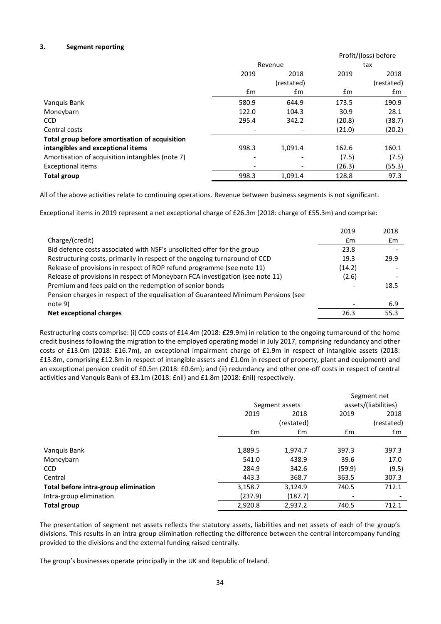## **3. Segment reporting**

|                                                  |                          |                              | Profit/(loss) before |            |  |
|--------------------------------------------------|--------------------------|------------------------------|----------------------|------------|--|
|                                                  |                          | Revenue                      | tax                  |            |  |
|                                                  | 2019                     | 2018                         |                      | 2018       |  |
|                                                  |                          | (restated)                   |                      | (restated) |  |
|                                                  | £m                       | £m                           | £m                   | £m         |  |
| Vanquis Bank                                     | 580.9                    | 644.9                        | 173.5                | 190.9      |  |
| Moneybarn                                        | 122.0                    | 104.3                        | 30.9                 | 28.1       |  |
| <b>CCD</b>                                       | 295.4                    | 342.2                        | (20.8)               | (38.7)     |  |
| Central costs                                    |                          |                              | (21.0)               | (20.2)     |  |
| Total group before amortisation of acquisition   |                          |                              |                      |            |  |
| intangibles and exceptional items                | 998.3                    | 1,091.4                      | 162.6                | 160.1      |  |
| Amortisation of acquisition intangibles (note 7) | $\overline{\phantom{a}}$ |                              | (7.5)                | (7.5)      |  |
| <b>Exceptional items</b>                         | ٠                        | $\qquad \qquad \blacksquare$ | (26.3)               | (55.3)     |  |
| <b>Total group</b>                               | 998.3                    | 1.091.4                      | 128.8                | 97.3       |  |

All of the above activities relate to continuing operations. Revenue between business segments is not significant.

Exceptional items in 2019 represent a net exceptional charge of £26.3m (2018: charge of £55.3m) and comprise:

|                                                                                    | 2019   | 2018 |
|------------------------------------------------------------------------------------|--------|------|
| Charge/(credit)                                                                    | £m     | £m   |
| Bid defence costs associated with NSF's unsolicited offer for the group            | 23.8   |      |
| Restructuring costs, primarily in respect of the ongoing turnaround of CCD         | 19.3   | 29.9 |
| Release of provisions in respect of ROP refund programme (see note 11)             | (14.2) |      |
| Release of provisions in respect of Moneybarn FCA investigation (see note 11)      | (2.6)  |      |
| Premium and fees paid on the redemption of senior bonds                            |        | 18.5 |
| Pension charges in respect of the equalisation of Guaranteed Minimum Pensions (see |        |      |
| note 9)                                                                            |        | 6.9  |
| Net exceptional charges                                                            | 26.3   | 55.3 |
|                                                                                    |        |      |

Restructuring costs comprise: (i) CCD costs of £14.4m (2018: £29.9m) in relation to the ongoing turnaround of the home credit business following the migration to the employed operating model in July 2017, comprising redundancy and other costs of £13.0m (2018: £16.7m), an exceptional impairment charge of £1.9m in respect of intangible assets (2018: £13.8m, comprising £12.8m in respect of intangible assets and £1.0m in respect of property, plant and equipment) and an exceptional pension credit of £0.5m (2018: £0.6m); and (ii) redundancy and other one-off costs in respect of central activities and Vanquis Bank of £3.1m (2018: £nil) and £1.8m (2018: £nil) respectively.

|                                      |         |                |                          | Segment net              |
|--------------------------------------|---------|----------------|--------------------------|--------------------------|
|                                      |         | Segment assets |                          | assets/(liabilities)     |
|                                      | 2019    | 2018           | 2019                     | 2018                     |
|                                      |         | (restated)     |                          | (restated)               |
|                                      | £m      | £m             | $\mathsf{fm}$            | £m                       |
|                                      |         |                |                          |                          |
| Vanquis Bank                         | 1,889.5 | 1,974.7        | 397.3                    | 397.3                    |
| Moneybarn                            | 541.0   | 438.9          | 39.6                     | 17.0                     |
| <b>CCD</b>                           | 284.9   | 342.6          | (59.9)                   | (9.5)                    |
| Central                              | 443.3   | 368.7          | 363.5                    | 307.3                    |
| Total before intra-group elimination | 3,158.7 | 3,124.9        | 740.5                    | 712.1                    |
| Intra-group elimination              | (237.9) | (187.7)        | $\overline{\phantom{a}}$ | $\overline{\phantom{a}}$ |
| <b>Total group</b>                   | 2,920.8 | 2,937.2        | 740.5                    | 712.1                    |

The presentation of segment net assets reflects the statutory assets, liabilities and net assets of each of the group's divisions. This results in an intra group elimination reflecting the difference between the central intercompany funding provided to the divisions and the external funding raised centrally.

The group's businesses operate principally in the UK and Republic of Ireland.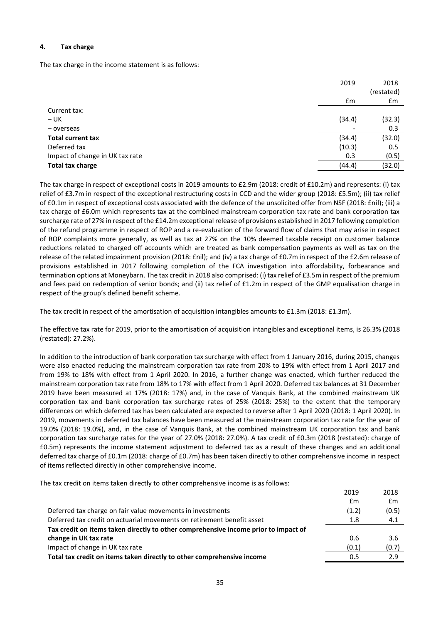## **4. Tax charge**

The tax charge in the income statement is as follows:

|                                 | 2019                     | 2018<br>(restated) |
|---------------------------------|--------------------------|--------------------|
|                                 | £m                       | £m                 |
| Current tax:                    |                          |                    |
| $- UK$                          | (34.4)                   | (32.3)             |
| - overseas                      | $\overline{\phantom{a}}$ | 0.3                |
| <b>Total current tax</b>        | (34.4)                   | (32.0)             |
| Deferred tax                    | (10.3)                   | 0.5                |
| Impact of change in UK tax rate | 0.3                      | (0.5)              |
| <b>Total tax charge</b>         | (44.4)                   | (32.0)             |

The tax charge in respect of exceptional costs in 2019 amounts to £2.9m (2018: credit of £10.2m) and represents: (i) tax relief of £3.7m in respect of the exceptional restructuring costs in CCD and the wider group (2018: £5.5m); (ii) tax relief of £0.1m in respect of exceptional costs associated with the defence of the unsolicited offer from NSF (2018: £nil); (iii) a tax charge of £6.0m which represents tax at the combined mainstream corporation tax rate and bank corporation tax surcharge rate of 27% in respect of the £14.2m exceptional release of provisions established in 2017 following completion of the refund programme in respect of ROP and a re-evaluation of the forward flow of claims that may arise in respect of ROP complaints more generally, as well as tax at 27% on the 10% deemed taxable receipt on customer balance reductions related to charged off accounts which are treated as bank compensation payments as well as tax on the release of the related impairment provision (2018: £nil); and (iv) a tax charge of £0.7m in respect of the £2.6m release of provisions established in 2017 following completion of the FCA investigation into affordability, forbearance and termination options at Moneybarn. The tax credit in 2018 also comprised: (i) tax relief of £3.5m in respect of the premium and fees paid on redemption of senior bonds; and (ii) tax relief of £1.2m in respect of the GMP equalisation charge in respect of the group's defined benefit scheme.

The tax credit in respect of the amortisation of acquisition intangibles amounts to £1.3m (2018: £1.3m).

The effective tax rate for 2019, prior to the amortisation of acquisition intangibles and exceptional items, is 26.3% (2018 (restated): 27.2%).

In addition to the introduction of bank corporation tax surcharge with effect from 1 January 2016, during 2015, changes were also enacted reducing the mainstream corporation tax rate from 20% to 19% with effect from 1 April 2017 and from 19% to 18% with effect from 1 April 2020. In 2016, a further change was enacted, which further reduced the mainstream corporation tax rate from 18% to 17% with effect from 1 April 2020. Deferred tax balances at 31 December 2019 have been measured at 17% (2018: 17%) and, in the case of Vanquis Bank, at the combined mainstream UK corporation tax and bank corporation tax surcharge rates of 25% (2018: 25%) to the extent that the temporary differences on which deferred tax has been calculated are expected to reverse after 1 April 2020 (2018: 1 April 2020). In 2019, movements in deferred tax balances have been measured at the mainstream corporation tax rate for the year of 19.0% (2018: 19.0%), and, in the case of Vanquis Bank, at the combined mainstream UK corporation tax and bank corporation tax surcharge rates for the year of 27.0% (2018: 27.0%). A tax credit of £0.3m (2018 (restated): charge of £0.5m) represents the income statement adjustment to deferred tax as a result of these changes and an additional deferred tax charge of £0.1m (2018: charge of £0.7m) has been taken directly to other comprehensive income in respect of items reflected directly in other comprehensive income.

The tax credit on items taken directly to other comprehensive income is as follows:

|                                                                                     | 2019  | 2018  |
|-------------------------------------------------------------------------------------|-------|-------|
|                                                                                     | £m    | £m    |
| Deferred tax charge on fair value movements in investments                          | (1.2) | (0.5) |
| Deferred tax credit on actuarial movements on retirement benefit asset              | 1.8   | 4.1   |
| Tax credit on items taken directly to other comprehensive income prior to impact of |       |       |
| change in UK tax rate                                                               | 0.6   | 3.6   |
| Impact of change in UK tax rate                                                     | (0.1) | (0.7) |
| Total tax credit on items taken directly to other comprehensive income              | 0.5   | 2.9   |
|                                                                                     |       |       |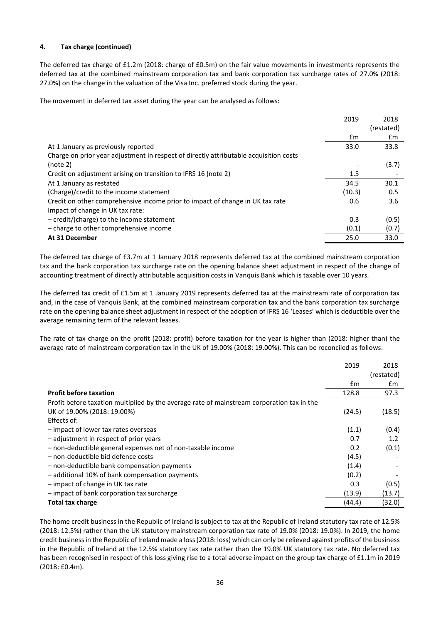# **4. Tax charge (continued)**

The deferred tax charge of £1.2m (2018: charge of £0.5m) on the fair value movements in investments represents the deferred tax at the combined mainstream corporation tax and bank corporation tax surcharge rates of 27.0% (2018: 27.0%) on the change in the valuation of the Visa Inc. preferred stock during the year.

The movement in deferred tax asset during the year can be analysed as follows:

|                                                                                       | 2019   | 2018       |
|---------------------------------------------------------------------------------------|--------|------------|
|                                                                                       |        | (restated) |
|                                                                                       | £m     | £m         |
| At 1 January as previously reported                                                   | 33.0   | 33.8       |
| Charge on prior year adjustment in respect of directly attributable acquisition costs |        |            |
| (note 2)                                                                              |        | (3.7)      |
| Credit on adjustment arising on transition to IFRS 16 (note 2)                        | 1.5    |            |
| At 1 January as restated                                                              | 34.5   | 30.1       |
| (Charge)/credit to the income statement                                               | (10.3) | 0.5        |
| Credit on other comprehensive income prior to impact of change in UK tax rate         | 0.6    | 3.6        |
| Impact of change in UK tax rate:                                                      |        |            |
| - credit/(charge) to the income statement                                             | 0.3    | (0.5)      |
| - charge to other comprehensive income                                                | (0.1)  | (0.7)      |
| At 31 December                                                                        | 25.0   | 33.0       |

The deferred tax charge of £3.7m at 1 January 2018 represents deferred tax at the combined mainstream corporation tax and the bank corporation tax surcharge rate on the opening balance sheet adjustment in respect of the change of accounting treatment of directly attributable acquisition costs in Vanquis Bank which is taxable over 10 years.

The deferred tax credit of £1.5m at 1 January 2019 represents deferred tax at the mainstream rate of corporation tax and, in the case of Vanquis Bank, at the combined mainstream corporation tax and the bank corporation tax surcharge rate on the opening balance sheet adjustment in respect of the adoption of IFRS 16 'Leases' which is deductible over the average remaining term of the relevant leases.

The rate of tax charge on the profit (2018: profit) before taxation for the year is higher than (2018: higher than) the average rate of mainstream corporation tax in the UK of 19.00% (2018: 19.00%). This can be reconciled as follows:

|                                                                                            | 2019   | 2018       |
|--------------------------------------------------------------------------------------------|--------|------------|
|                                                                                            |        | (restated) |
|                                                                                            | £m     | £m         |
| <b>Profit before taxation</b>                                                              | 128.8  | 97.3       |
| Profit before taxation multiplied by the average rate of mainstream corporation tax in the |        |            |
| UK of 19.00% (2018: 19.00%)                                                                | (24.5) | (18.5)     |
| Effects of:                                                                                |        |            |
| - impact of lower tax rates overseas                                                       | (1.1)  | (0.4)      |
| - adjustment in respect of prior years                                                     | 0.7    | 1.2        |
| - non-deductible general expenses net of non-taxable income                                | 0.2    | (0.1)      |
| - non-deductible bid defence costs                                                         | (4.5)  |            |
| - non-deductible bank compensation payments                                                | (1.4)  |            |
| - additional 10% of bank compensation payments                                             | (0.2)  |            |
| - impact of change in UK tax rate                                                          | 0.3    | (0.5)      |
| - impact of bank corporation tax surcharge                                                 | (13.9) | (13.7)     |
| <b>Total tax charge</b>                                                                    | (44.4) | (32.0)     |

The home credit business in the Republic of Ireland is subject to tax at the Republic of Ireland statutory tax rate of 12.5% (2018: 12.5%) rather than the UK statutory mainstream corporation tax rate of 19.0% (2018: 19.0%). In 2019, the home credit business in the Republic of Ireland made a loss (2018: loss) which can only be relieved against profits of the business in the Republic of Ireland at the 12.5% statutory tax rate rather than the 19.0% UK statutory tax rate. No deferred tax has been recognised in respect of this loss giving rise to a total adverse impact on the group tax charge of £1.1m in 2019 (2018: £0.4m).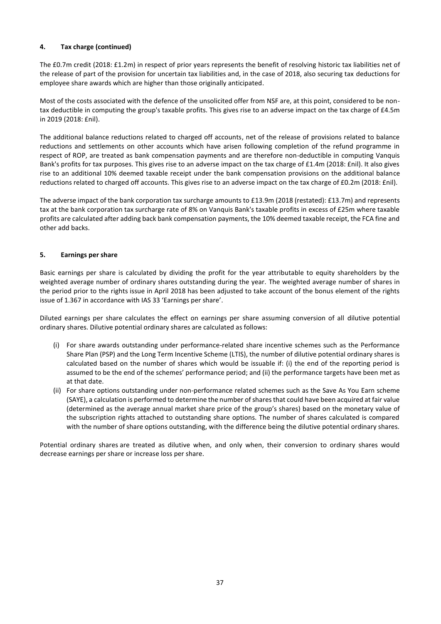# **4. Tax charge (continued)**

The £0.7m credit (2018: £1.2m) in respect of prior years represents the benefit of resolving historic tax liabilities net of the release of part of the provision for uncertain tax liabilities and, in the case of 2018, also securing tax deductions for employee share awards which are higher than those originally anticipated.

Most of the costs associated with the defence of the unsolicited offer from NSF are, at this point, considered to be nontax deductible in computing the group's taxable profits. This gives rise to an adverse impact on the tax charge of £4.5m in 2019 (2018: £nil).

The additional balance reductions related to charged off accounts, net of the release of provisions related to balance reductions and settlements on other accounts which have arisen following completion of the refund programme in respect of ROP, are treated as bank compensation payments and are therefore non-deductible in computing Vanquis Bank's profits for tax purposes. This gives rise to an adverse impact on the tax charge of £1.4m (2018: £nil). It also gives rise to an additional 10% deemed taxable receipt under the bank compensation provisions on the additional balance reductions related to charged off accounts. This gives rise to an adverse impact on the tax charge of £0.2m (2018: £nil).

The adverse impact of the bank corporation tax surcharge amounts to £13.9m (2018 (restated): £13.7m) and represents tax at the bank corporation tax surcharge rate of 8% on Vanquis Bank's taxable profits in excess of £25m where taxable profits are calculated after adding back bank compensation payments, the 10% deemed taxable receipt, the FCA fine and other add backs.

## **5. Earnings per share**

Basic earnings per share is calculated by dividing the profit for the year attributable to equity shareholders by the weighted average number of ordinary shares outstanding during the year. The weighted average number of shares in the period prior to the rights issue in April 2018 has been adjusted to take account of the bonus element of the rights issue of 1.367 in accordance with IAS 33 'Earnings per share'.

Diluted earnings per share calculates the effect on earnings per share assuming conversion of all dilutive potential ordinary shares. Dilutive potential ordinary shares are calculated as follows:

- (i) For share awards outstanding under performance-related share incentive schemes such as the Performance Share Plan (PSP) and the Long Term Incentive Scheme (LTIS), the number of dilutive potential ordinary shares is calculated based on the number of shares which would be issuable if: (i) the end of the reporting period is assumed to be the end of the schemes' performance period; and (ii) the performance targets have been met as at that date.
- (ii) For share options outstanding under non-performance related schemes such as the Save As You Earn scheme (SAYE), a calculation is performed to determine the number of shares that could have been acquired at fair value (determined as the average annual market share price of the group's shares) based on the monetary value of the subscription rights attached to outstanding share options. The number of shares calculated is compared with the number of share options outstanding, with the difference being the dilutive potential ordinary shares.

Potential ordinary shares are treated as dilutive when, and only when, their conversion to ordinary shares would decrease earnings per share or increase loss per share.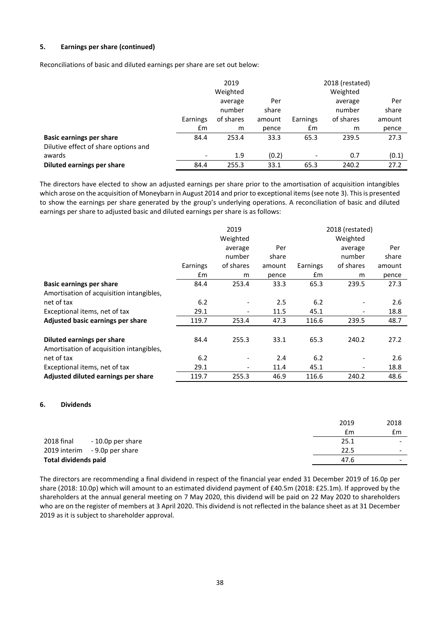## **5. Earnings per share (continued)**

Reconciliations of basic and diluted earnings per share are set out below:

|                                      |                          | 2019      |        |          | 2018 (restated) |        |
|--------------------------------------|--------------------------|-----------|--------|----------|-----------------|--------|
|                                      |                          | Weighted  |        |          | Weighted        |        |
|                                      |                          | average   | Per    |          | average         | Per    |
|                                      |                          | number    | share  |          | number          | share  |
|                                      | Earnings                 | of shares | amount | Earnings | of shares       | amount |
|                                      | £m                       | m         | pence  | Em       | m               | pence  |
| <b>Basic earnings per share</b>      | 84.4                     | 253.4     | 33.3   | 65.3     | 239.5           | 27.3   |
| Dilutive effect of share options and |                          |           |        |          |                 |        |
| awards                               | $\overline{\phantom{a}}$ | 1.9       | (0.2)  |          | 0.7             | (0.1)  |
| Diluted earnings per share           | 84.4                     | 255.3     | 33.1   | 65.3     | 240.2           | 27.2   |

The directors have elected to show an adjusted earnings per share prior to the amortisation of acquisition intangibles which arose on the acquisition of Moneybarn in August 2014 and prior to exceptional items (see note 3). This is presented to show the earnings per share generated by the group's underlying operations. A reconciliation of basic and diluted earnings per share to adjusted basic and diluted earnings per share is as follows:

|                                          |          | 2019                     |        |          | 2018 (restated) |        |
|------------------------------------------|----------|--------------------------|--------|----------|-----------------|--------|
|                                          |          | Weighted                 |        |          | Weighted        |        |
|                                          |          | average                  | Per    |          | average         | Per    |
|                                          |          | number                   | share  |          | number          | share  |
|                                          | Earnings | of shares                | amount | Earnings | of shares       | amount |
|                                          | £m       | m                        | pence  | £m       | m               | pence  |
| <b>Basic earnings per share</b>          | 84.4     | 253.4                    | 33.3   | 65.3     | 239.5           | 27.3   |
| Amortisation of acquisition intangibles, |          |                          |        |          |                 |        |
| net of tax                               | 6.2      | $\overline{\phantom{0}}$ | 2.5    | 6.2      |                 | 2.6    |
| Exceptional items, net of tax            | 29.1     | $\overline{\phantom{a}}$ | 11.5   | 45.1     |                 | 18.8   |
| Adjusted basic earnings per share        | 119.7    | 253.4                    | 47.3   | 116.6    | 239.5           | 48.7   |
|                                          |          |                          |        |          |                 |        |
| Diluted earnings per share               | 84.4     | 255.3                    | 33.1   | 65.3     | 240.2           | 27.2   |
| Amortisation of acquisition intangibles, |          |                          |        |          |                 |        |
| net of tax                               | 6.2      | $\overline{\phantom{0}}$ | 2.4    | 6.2      |                 | 2.6    |
| Exceptional items, net of tax            | 29.1     | $\overline{\phantom{a}}$ | 11.4   | 45.1     |                 | 18.8   |
| Adjusted diluted earnings per share      | 119.7    | 255.3                    | 46.9   | 116.6    | 240.2           | 48.6   |

#### **6. Dividends**

|                             |                               | 2019 | 2018                     |
|-----------------------------|-------------------------------|------|--------------------------|
|                             |                               | £m   | £m                       |
| 2018 final                  | - 10.0p per share             | 25.1 | $\overline{\phantom{0}}$ |
|                             | 2019 interim - 9.0p per share | 22.5 | $\overline{\phantom{0}}$ |
| <b>Total dividends paid</b> |                               | 47.6 | $\overline{\phantom{0}}$ |

The directors are recommending a final dividend in respect of the financial year ended 31 December 2019 of 16.0p per share (2018: 10.0p) which will amount to an estimated dividend payment of £40.5m (2018: £25.1m). If approved by the shareholders at the annual general meeting on 7 May 2020, this dividend will be paid on 22 May 2020 to shareholders who are on the register of members at 3 April 2020. This dividend is not reflected in the balance sheet as at 31 December 2019 as it is subject to shareholder approval.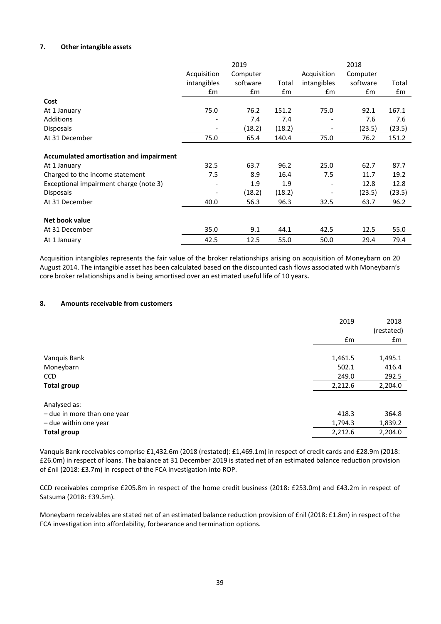## **7. Other intangible assets**

|                                         |             | 2019          |        |               | 2018     |        |
|-----------------------------------------|-------------|---------------|--------|---------------|----------|--------|
|                                         | Acquisition | Computer      |        | Acquisition   | Computer |        |
|                                         | intangibles | software      | Total  | intangibles   | software | Total  |
|                                         | Em          | $\mathsf{fm}$ | £m     | $\mathsf{fm}$ | £m       | £m     |
| Cost                                    |             |               |        |               |          |        |
| At 1 January                            | 75.0        | 76.2          | 151.2  | 75.0          | 92.1     | 167.1  |
| Additions                               |             | 7.4           | 7.4    |               | 7.6      | 7.6    |
| <b>Disposals</b>                        |             | (18.2)        | (18.2) |               | (23.5)   | (23.5) |
| At 31 December                          | 75.0        | 65.4          | 140.4  | 75.0          | 76.2     | 151.2  |
| Accumulated amortisation and impairment |             |               |        |               |          |        |
| At 1 January                            | 32.5        | 63.7          | 96.2   | 25.0          | 62.7     | 87.7   |
| Charged to the income statement         | 7.5         | 8.9           | 16.4   | 7.5           | 11.7     | 19.2   |
| Exceptional impairment charge (note 3)  |             | 1.9           | 1.9    |               | 12.8     | 12.8   |
| <b>Disposals</b>                        |             | (18.2)        | (18.2) |               | (23.5)   | (23.5) |
| At 31 December                          | 40.0        | 56.3          | 96.3   | 32.5          | 63.7     | 96.2   |
| Net book value                          |             |               |        |               |          |        |
| At 31 December                          | 35.0        | 9.1           | 44.1   | 42.5          | 12.5     | 55.0   |
| At 1 January                            | 42.5        | 12.5          | 55.0   | 50.0          | 29.4     | 79.4   |

Acquisition intangibles represents the fair value of the broker relationships arising on acquisition of Moneybarn on 20 August 2014. The intangible asset has been calculated based on the discounted cash flows associated with Moneybarn's core broker relationships and is being amortised over an estimated useful life of 10 years**.**

## **8. Amounts receivable from customers**

|                             | 2019    | 2018<br>(restated) |
|-----------------------------|---------|--------------------|
|                             | £m      | £m                 |
|                             |         |                    |
| Vanquis Bank                | 1,461.5 | 1,495.1            |
| Moneybarn                   | 502.1   | 416.4              |
| <b>CCD</b>                  | 249.0   | 292.5              |
| <b>Total group</b>          | 2,212.6 | 2,204.0            |
| Analysed as:                |         |                    |
| - due in more than one year | 418.3   | 364.8              |
| - due within one year       | 1,794.3 | 1,839.2            |
| <b>Total group</b>          | 2,212.6 | 2,204.0            |
|                             |         |                    |

Vanquis Bank receivables comprise £1,432.6m (2018 (restated): £1,469.1m) in respect of credit cards and £28.9m (2018: £26.0m) in respect of loans. The balance at 31 December 2019 is stated net of an estimated balance reduction provision of £nil (2018: £3.7m) in respect of the FCA investigation into ROP.

CCD receivables comprise £205.8m in respect of the home credit business (2018: £253.0m) and £43.2m in respect of Satsuma (2018: £39.5m).

Moneybarn receivables are stated net of an estimated balance reduction provision of £nil (2018: £1.8m) in respect of the FCA investigation into affordability, forbearance and termination options.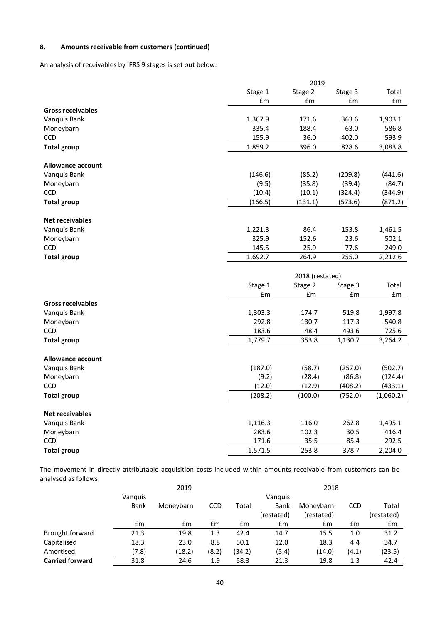# **8. Amounts receivable from customers (continued)**

An analysis of receivables by IFRS 9 stages is set out below:

|                          |                  | 2019            |               |                  |
|--------------------------|------------------|-----------------|---------------|------------------|
|                          | Stage 1          | Stage 2         | Stage 3       | Total            |
|                          | £m               | £m              | £m            | £m               |
| <b>Gross receivables</b> |                  |                 |               |                  |
| Vanquis Bank             | 1,367.9          | 171.6           | 363.6         | 1,903.1          |
| Moneybarn                | 335.4            | 188.4           | 63.0          | 586.8            |
| <b>CCD</b>               | 155.9            | 36.0            | 402.0         | 593.9            |
| <b>Total group</b>       | 1,859.2          | 396.0           | 828.6         | 3,083.8          |
| Allowance account        |                  |                 |               |                  |
| Vanquis Bank             | (146.6)          | (85.2)          | (209.8)       | (441.6)          |
| Moneybarn                | (9.5)            | (35.8)          | (39.4)        | (84.7)           |
| CCD                      | (10.4)           | (10.1)          | (324.4)       | (344.9)          |
| <b>Total group</b>       | (166.5)          | (131.1)         | (573.6)       | (871.2)          |
|                          |                  |                 |               |                  |
| <b>Net receivables</b>   |                  |                 |               |                  |
| Vanquis Bank             | 1,221.3          | 86.4            | 153.8         | 1,461.5          |
| Moneybarn                | 325.9            | 152.6           | 23.6          | 502.1            |
| <b>CCD</b>               | 145.5            | 25.9            | 77.6          | 249.0            |
| <b>Total group</b>       | 1,692.7          | 264.9           | 255.0         | 2,212.6          |
|                          |                  |                 |               |                  |
|                          |                  |                 |               |                  |
|                          |                  | 2018 (restated) |               |                  |
|                          | Stage 1          | Stage 2         | Stage 3       | Total            |
|                          | £m               | £m              | £m            | £m               |
| <b>Gross receivables</b> |                  |                 |               |                  |
| Vanquis Bank             | 1,303.3          | 174.7           | 519.8         | 1,997.8          |
| Moneybarn                | 292.8            | 130.7           | 117.3         | 540.8            |
| <b>CCD</b>               | 183.6            | 48.4            | 493.6         | 725.6            |
| <b>Total group</b>       | 1,779.7          | 353.8           | 1,130.7       | 3,264.2          |
| <b>Allowance account</b> |                  |                 |               |                  |
|                          |                  |                 |               |                  |
| Vanquis Bank             | (187.0)          | (58.7)          | (257.0)       | (502.7)          |
| Moneybarn                | (9.2)            | (28.4)          | (86.8)        | (124.4)          |
| CCD                      | (12.0)           | (12.9)          | (408.2)       | (433.1)          |
| <b>Total group</b>       | (208.2)          | (100.0)         | (752.0)       | (1,060.2)        |
| <b>Net receivables</b>   |                  |                 |               |                  |
| Vanquis Bank             | 1,116.3          | 116.0           | 262.8         | 1,495.1          |
| Moneybarn                | 283.6            | 102.3           | 30.5          | 416.4            |
| <b>CCD</b>               | 171.6<br>1,571.5 | 35.5<br>253.8   | 85.4<br>378.7 | 292.5<br>2,204.0 |

The movement in directly attributable acquisition costs included within amounts receivable from customers can be analysed as follows:

|                        |         | 2019      |            |        |            | 2018       |            |            |
|------------------------|---------|-----------|------------|--------|------------|------------|------------|------------|
|                        | Vanguis |           |            |        | Vanguis    |            |            |            |
|                        | Bank    | Moneybarn | <b>CCD</b> | Total  | Bank       | Moneybarn  | <b>CCD</b> | Total      |
|                        |         |           |            |        | (restated) | (restated) |            | (restated) |
|                        | £m      | £m        | £m         | £m     | £m         | £m         | £m         | £m         |
| Brought forward        | 21.3    | 19.8      | 1.3        | 42.4   | 14.7       | 15.5       | 1.0        | 31.2       |
| Capitalised            | 18.3    | 23.0      | 8.8        | 50.1   | 12.0       | 18.3       | 4.4        | 34.7       |
| Amortised              | (7.8)   | (18.2)    | (8.2)      | (34.2) | (5.4)      | (14.0)     | (4.1)      | (23.5)     |
| <b>Carried forward</b> | 31.8    | 24.6      | 1.9        | 58.3   | 21.3       | 19.8       | 1.3        | 42.4       |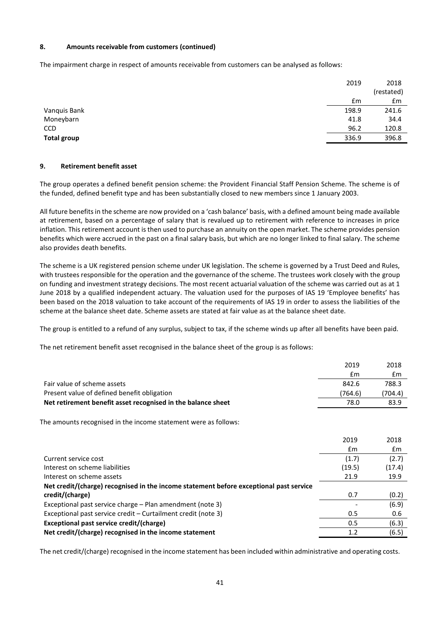## **8. Amounts receivable from customers (continued)**

The impairment charge in respect of amounts receivable from customers can be analysed as follows:

|                    | 2019  | 2018       |
|--------------------|-------|------------|
|                    |       | (restated) |
|                    | £m    | Em         |
| Vanquis Bank       | 198.9 | 241.6      |
| Moneybarn          | 41.8  | 34.4       |
| <b>CCD</b>         | 96.2  | 120.8      |
| <b>Total group</b> | 336.9 | 396.8      |
|                    |       |            |

#### **9. Retirement benefit asset**

The group operates a defined benefit pension scheme: the Provident Financial Staff Pension Scheme. The scheme is of the funded, defined benefit type and has been substantially closed to new members since 1 January 2003.

All future benefits in the scheme are now provided on a 'cash balance' basis, with a defined amount being made available at retirement, based on a percentage of salary that is revalued up to retirement with reference to increases in price inflation. This retirement account is then used to purchase an annuity on the open market. The scheme provides pension benefits which were accrued in the past on a final salary basis, but which are no longer linked to final salary. The scheme also provides death benefits.

The scheme is a UK registered pension scheme under UK legislation. The scheme is governed by a Trust Deed and Rules, with trustees responsible for the operation and the governance of the scheme. The trustees work closely with the group on funding and investment strategy decisions. The most recent actuarial valuation of the scheme was carried out as at 1 June 2018 by a qualified independent actuary. The valuation used for the purposes of IAS 19 'Employee benefits' has been based on the 2018 valuation to take account of the requirements of IAS 19 in order to assess the liabilities of the scheme at the balance sheet date. Scheme assets are stated at fair value as at the balance sheet date.

The group is entitled to a refund of any surplus, subject to tax, if the scheme winds up after all benefits have been paid.

The net retirement benefit asset recognised in the balance sheet of the group is as follows:

|                                                                                        | 2019    | 2018    |
|----------------------------------------------------------------------------------------|---------|---------|
|                                                                                        | £m      | Em      |
| Fair value of scheme assets                                                            | 842.6   | 788.3   |
| Present value of defined benefit obligation                                            | (764.6) | (704.4) |
| Net retirement benefit asset recognised in the balance sheet                           | 78.0    | 83.9    |
| The amounts recognised in the income statement were as follows:                        |         |         |
|                                                                                        | 2019    | 2018    |
|                                                                                        | £m      | Em      |
| Current service cost                                                                   | (1.7)   | (2.7)   |
| Interest on scheme liabilities                                                         | (19.5)  | (17.4)  |
| Interest on scheme assets                                                              | 21.9    | 19.9    |
| Net credit/(charge) recognised in the income statement before exceptional past service |         |         |
| credit/(charge)                                                                        | 0.7     | (0.2)   |
| Exceptional past service charge – Plan amendment (note 3)                              |         | (6.9)   |
| Exceptional past service credit – Curtailment credit (note 3)                          | 0.5     | 0.6     |
| Exceptional past service credit/(charge)                                               | 0.5     | (6.3)   |
| Net credit/(charge) recognised in the income statement                                 | 1.2     | (6.5)   |

The net credit/(charge) recognised in the income statement has been included within administrative and operating costs.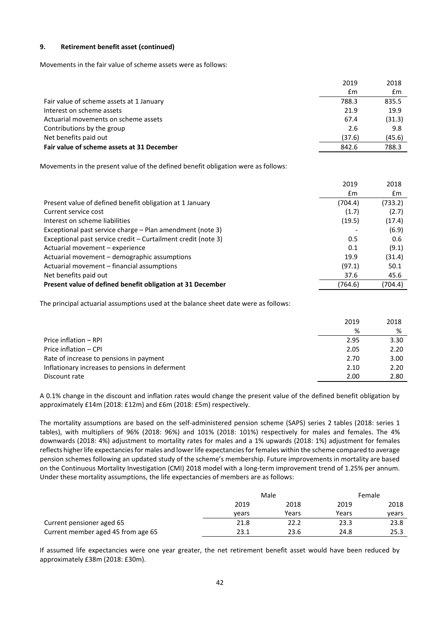## **9. Retirement benefit asset (continued)**

Movements in the fair value of scheme assets were as follows:

| 2019   | 2018   |
|--------|--------|
| £m     | £m     |
| 788.3  | 835.5  |
| 21.9   | 19.9   |
| 67.4   | (31.3) |
| 2.6    | 9.8    |
| (37.6) | (45.6) |
| 842.6  | 788.3  |
|        |        |

Movements in the present value of the defined benefit obligation were as follows:

|                                                               | 2019    | 2018    |
|---------------------------------------------------------------|---------|---------|
|                                                               | £m      | £m      |
| Present value of defined benefit obligation at 1 January      | (704.4) | (733.2) |
| Current service cost                                          | (1.7)   | (2.7)   |
| Interest on scheme liabilities                                | (19.5)  | (17.4)  |
| Exceptional past service charge – Plan amendment (note 3)     |         | (6.9)   |
| Exceptional past service credit – Curtailment credit (note 3) | 0.5     | 0.6     |
| Actuarial movement – experience                               | 0.1     | (9.1)   |
| Actuarial movement - demographic assumptions                  | 19.9    | (31.4)  |
| Actuarial movement – financial assumptions                    | (97.1)  | 50.1    |
| Net benefits paid out                                         | 37.6    | 45.6    |
| Present value of defined benefit obligation at 31 December    | (764.6) | (704.4) |

The principal actuarial assumptions used at the balance sheet date were as follows:

|                                                 | 2019 | 2018 |
|-------------------------------------------------|------|------|
|                                                 | %    | %    |
| Price inflation – RPI                           | 2.95 | 3.30 |
| Price inflation - CPI                           | 2.05 | 2.20 |
| Rate of increase to pensions in payment         | 2.70 | 3.00 |
| Inflationary increases to pensions in deferment | 2.10 | 2.20 |
| Discount rate                                   | 2.00 | 2.80 |

A 0.1% change in the discount and inflation rates would change the present value of the defined benefit obligation by approximately £14m (2018: £12m) and £6m (2018: £5m) respectively.

The mortality assumptions are based on the self-administered pension scheme (SAPS) series 2 tables (2018: series 1 tables), with multipliers of 96% (2018: 96%) and 101% (2018: 101%) respectively for males and females. The 4% downwards (2018: 4%) adjustment to mortality rates for males and a 1% upwards (2018: 1%) adjustment for females reflects higher life expectancies for males and lower life expectancies for females within the scheme compared to average pension schemes following an updated study of the scheme's membership. Future improvements in mortality are based on the Continuous Mortality Investigation (CMI) 2018 model with a long-term improvement trend of 1.25% per annum. Under these mortality assumptions, the life expectancies of members are as follows:

|                                    |       | Male  |       | Female |
|------------------------------------|-------|-------|-------|--------|
|                                    | 2019  | 2018  | 2019  | 2018   |
|                                    | vears | Years | Years | vears  |
| Current pensioner aged 65          | 21.8  | 22.2  | 23.3  | 23.8   |
| Current member aged 45 from age 65 | 23.1  | 23.6  | 24.8  | 25.3   |

If assumed life expectancies were one year greater, the net retirement benefit asset would have been reduced by approximately £38m (2018: £30m).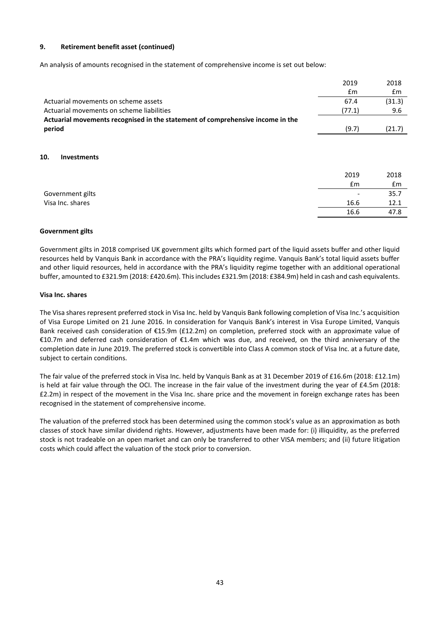#### **9. Retirement benefit asset (continued)**

An analysis of amounts recognised in the statement of comprehensive income is set out below:

|                                                                                | 2019                  | 2018                  |
|--------------------------------------------------------------------------------|-----------------------|-----------------------|
|                                                                                | $\mathsf{fm}$         | £m                    |
| Actuarial movements on scheme assets                                           | 67.4                  | (31.3)                |
| Actuarial movements on scheme liabilities                                      | (77.1)                | 9.6                   |
| Actuarial movements recognised in the statement of comprehensive income in the |                       |                       |
| period                                                                         | (9.7)                 | (21.7)                |
| 10.<br><b>Investments</b>                                                      | 2019<br>$\mathsf{fm}$ | 2018<br>$\mathsf{fm}$ |
| Government gilts                                                               |                       | 35.7                  |
| Visa Inc. shares                                                               | 16.6                  | 12.1                  |
|                                                                                | 16.6                  | 47.8                  |
|                                                                                |                       |                       |

#### **Government gilts**

Government gilts in 2018 comprised UK government gilts which formed part of the liquid assets buffer and other liquid resources held by Vanquis Bank in accordance with the PRA's liquidity regime. Vanquis Bank's total liquid assets buffer and other liquid resources, held in accordance with the PRA's liquidity regime together with an additional operational buffer, amounted to £321.9m (2018: £420.6m). This includes £321.9m (2018: £384.9m) held in cash and cash equivalents.

#### **Visa Inc. shares**

The Visa shares represent preferred stock in Visa Inc. held by Vanquis Bank following completion of Visa Inc.'s acquisition of Visa Europe Limited on 21 June 2016. In consideration for Vanquis Bank's interest in Visa Europe Limited, Vanquis Bank received cash consideration of €15.9m (£12.2m) on completion, preferred stock with an approximate value of €10.7m and deferred cash consideration of €1.4m which was due, and received, on the third anniversary of the completion date in June 2019. The preferred stock is convertible into Class A common stock of Visa Inc. at a future date, subject to certain conditions.

The fair value of the preferred stock in Visa Inc. held by Vanquis Bank as at 31 December 2019 of £16.6m (2018: £12.1m) is held at fair value through the OCI. The increase in the fair value of the investment during the year of £4.5m (2018: £2.2m) in respect of the movement in the Visa Inc. share price and the movement in foreign exchange rates has been recognised in the statement of comprehensive income.

The valuation of the preferred stock has been determined using the common stock's value as an approximation as both classes of stock have similar dividend rights. However, adjustments have been made for: (i) illiquidity, as the preferred stock is not tradeable on an open market and can only be transferred to other VISA members; and (ii) future litigation costs which could affect the valuation of the stock prior to conversion.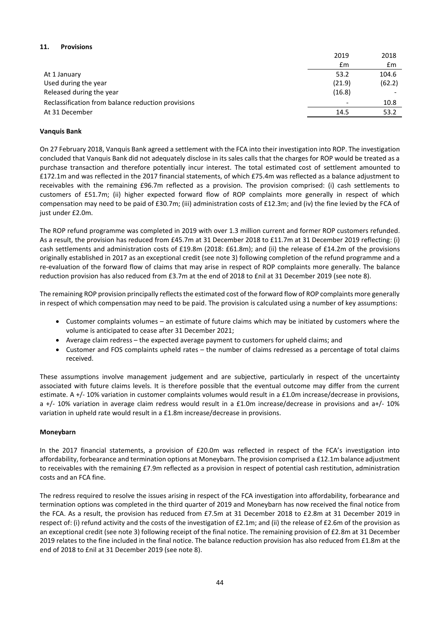# **11. Provisions**

|                                                    | 2019                     | 2018   |
|----------------------------------------------------|--------------------------|--------|
|                                                    | £m                       | £m     |
| At 1 January                                       | 53.2                     | 104.6  |
| Used during the year                               | (21.9)                   | (62.2) |
| Released during the year                           | (16.8)                   |        |
| Reclassification from balance reduction provisions | $\overline{\phantom{0}}$ | 10.8   |
| At 31 December                                     | 14.5                     | 53.2   |

## **Vanquis Bank**

On 27 February 2018, Vanquis Bank agreed a settlement with the FCA into their investigation into ROP. The investigation concluded that Vanquis Bank did not adequately disclose in its sales calls that the charges for ROP would be treated as a purchase transaction and therefore potentially incur interest. The total estimated cost of settlement amounted to £172.1m and was reflected in the 2017 financial statements, of which £75.4m was reflected as a balance adjustment to receivables with the remaining £96.7m reflected as a provision. The provision comprised: (i) cash settlements to customers of £51.7m; (ii) higher expected forward flow of ROP complaints more generally in respect of which compensation may need to be paid of £30.7m; (iii) administration costs of £12.3m; and (iv) the fine levied by the FCA of just under £2.0m.

The ROP refund programme was completed in 2019 with over 1.3 million current and former ROP customers refunded. As a result, the provision has reduced from £45.7m at 31 December 2018 to £11.7m at 31 December 2019 reflecting: (i) cash settlements and administration costs of £19.8m (2018: £61.8m); and (ii) the release of £14.2m of the provisions originally established in 2017 as an exceptional credit (see note 3) following completion of the refund programme and a re-evaluation of the forward flow of claims that may arise in respect of ROP complaints more generally. The balance reduction provision has also reduced from £3.7m at the end of 2018 to £nil at 31 December 2019 (see note 8).

The remaining ROP provision principally reflects the estimated cost of the forward flow of ROP complaints more generally in respect of which compensation may need to be paid. The provision is calculated using a number of key assumptions:

- Customer complaints volumes an estimate of future claims which may be initiated by customers where the volume is anticipated to cease after 31 December 2021;
- Average claim redress the expected average payment to customers for upheld claims; and
- Customer and FOS complaints upheld rates the number of claims redressed as a percentage of total claims received.

These assumptions involve management judgement and are subjective, particularly in respect of the uncertainty associated with future claims levels. It is therefore possible that the eventual outcome may differ from the current estimate. A +/- 10% variation in customer complaints volumes would result in a £1.0m increase/decrease in provisions, a +/- 10% variation in average claim redress would result in a £1.0m increase/decrease in provisions and a+/- 10% variation in upheld rate would result in a £1.8m increase/decrease in provisions.

## **Moneybarn**

In the 2017 financial statements, a provision of £20.0m was reflected in respect of the FCA's investigation into affordability, forbearance and termination options at Moneybarn. The provision comprised a £12.1m balance adjustment to receivables with the remaining £7.9m reflected as a provision in respect of potential cash restitution, administration costs and an FCA fine.

The redress required to resolve the issues arising in respect of the FCA investigation into affordability, forbearance and termination options was completed in the third quarter of 2019 and Moneybarn has now received the final notice from the FCA. As a result, the provision has reduced from £7.5m at 31 December 2018 to £2.8m at 31 December 2019 in respect of: (i) refund activity and the costs of the investigation of £2.1m; and (ii) the release of £2.6m of the provision as an exceptional credit (see note 3) following receipt of the final notice. The remaining provision of £2.8m at 31 December 2019 relates to the fine included in the final notice. The balance reduction provision has also reduced from £1.8m at the end of 2018 to £nil at 31 December 2019 (see note 8).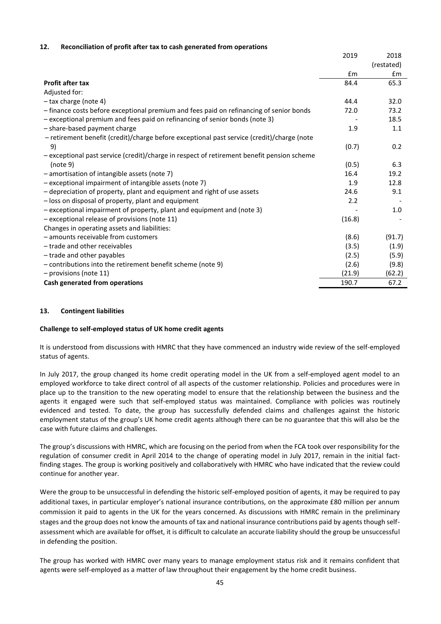## **12. Reconciliation of profit after tax to cash generated from operations**

| (restated)<br>£m<br>$\mathsf{fm}$<br>65.3<br><b>Profit after tax</b><br>84.4<br>Adjusted for:<br>- tax charge (note 4)<br>32.0<br>44.4 |
|----------------------------------------------------------------------------------------------------------------------------------------|
|                                                                                                                                        |
|                                                                                                                                        |
|                                                                                                                                        |
|                                                                                                                                        |
|                                                                                                                                        |
| - finance costs before exceptional premium and fees paid on refinancing of senior bonds<br>73.2<br>72.0                                |
| - exceptional premium and fees paid on refinancing of senior bonds (note 3)<br>18.5                                                    |
| - share-based payment charge<br>1.9<br>1.1                                                                                             |
| - retirement benefit (credit)/charge before exceptional past service (credit)/charge (note                                             |
| (0.7)<br>9)<br>0.2                                                                                                                     |
| - exceptional past service (credit)/charge in respect of retirement benefit pension scheme                                             |
| (note 9)<br>(0.5)<br>6.3                                                                                                               |
| - amortisation of intangible assets (note 7)<br>16.4<br>19.2                                                                           |
| - exceptional impairment of intangible assets (note 7)<br>12.8<br>1.9                                                                  |
| - depreciation of property, plant and equipment and right of use assets<br>24.6<br>9.1                                                 |
| - loss on disposal of property, plant and equipment<br>2.2                                                                             |
| 1.0<br>- exceptional impairment of property, plant and equipment and (note 3)                                                          |
| - exceptional release of provisions (note 11)<br>(16.8)                                                                                |
| Changes in operating assets and liabilities:                                                                                           |
| - amounts receivable from customers<br>(8.6)<br>(91.7)                                                                                 |
| - trade and other receivables<br>(3.5)<br>(1.9)                                                                                        |
| (2.5)<br>- trade and other payables<br>(5.9)                                                                                           |
| - contributions into the retirement benefit scheme (note 9)<br>(2.6)<br>(9.8)                                                          |
| - provisions (note 11)<br>(21.9)<br>(62.2)                                                                                             |
| Cash generated from operations<br>190.7<br>67.2                                                                                        |

#### **13. Contingent liabilities**

#### **Challenge to self-employed status of UK home credit agents**

It is understood from discussions with HMRC that they have commenced an industry wide review of the self-employed status of agents.

In July 2017, the group changed its home credit operating model in the UK from a self-employed agent model to an employed workforce to take direct control of all aspects of the customer relationship. Policies and procedures were in place up to the transition to the new operating model to ensure that the relationship between the business and the agents it engaged were such that self-employed status was maintained. Compliance with policies was routinely evidenced and tested. To date, the group has successfully defended claims and challenges against the historic employment status of the group's UK home credit agents although there can be no guarantee that this will also be the case with future claims and challenges.

The group's discussions with HMRC, which are focusing on the period from when the FCA took over responsibility for the regulation of consumer credit in April 2014 to the change of operating model in July 2017, remain in the initial factfinding stages. The group is working positively and collaboratively with HMRC who have indicated that the review could continue for another year.

Were the group to be unsuccessful in defending the historic self-employed position of agents, it may be required to pay additional taxes, in particular employer's national insurance contributions, on the approximate £80 million per annum commission it paid to agents in the UK for the years concerned. As discussions with HMRC remain in the preliminary stages and the group does not know the amounts of tax and national insurance contributions paid by agents though selfassessment which are available for offset, it is difficult to calculate an accurate liability should the group be unsuccessful in defending the position.

The group has worked with HMRC over many years to manage employment status risk and it remains confident that agents were self-employed as a matter of law throughout their engagement by the home credit business.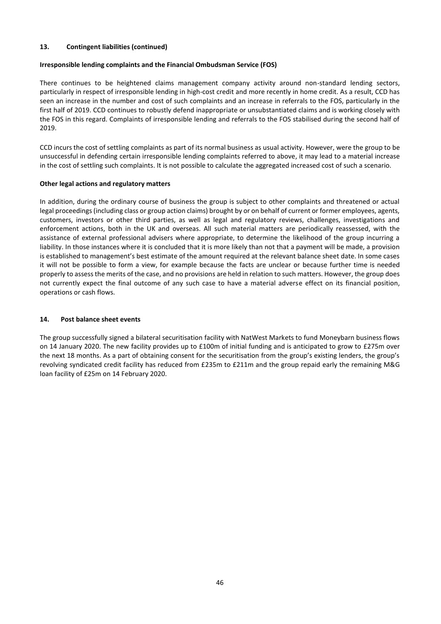## **13. Contingent liabilities (continued)**

## **Irresponsible lending complaints and the Financial Ombudsman Service (FOS)**

There continues to be heightened claims management company activity around non-standard lending sectors, particularly in respect of irresponsible lending in high-cost credit and more recently in home credit. As a result, CCD has seen an increase in the number and cost of such complaints and an increase in referrals to the FOS, particularly in the first half of 2019. CCD continues to robustly defend inappropriate or unsubstantiated claims and is working closely with the FOS in this regard. Complaints of irresponsible lending and referrals to the FOS stabilised during the second half of 2019.

CCD incurs the cost of settling complaints as part of its normal business as usual activity. However, were the group to be unsuccessful in defending certain irresponsible lending complaints referred to above, it may lead to a material increase in the cost of settling such complaints. It is not possible to calculate the aggregated increased cost of such a scenario.

## **Other legal actions and regulatory matters**

In addition, during the ordinary course of business the group is subject to other complaints and threatened or actual legal proceedings (including class or group action claims) brought by or on behalf of current or former employees, agents, customers, investors or other third parties, as well as legal and regulatory reviews, challenges, investigations and enforcement actions, both in the UK and overseas. All such material matters are periodically reassessed, with the assistance of external professional advisers where appropriate, to determine the likelihood of the group incurring a liability. In those instances where it is concluded that it is more likely than not that a payment will be made, a provision is established to management's best estimate of the amount required at the relevant balance sheet date. In some cases it will not be possible to form a view, for example because the facts are unclear or because further time is needed properly to assess the merits of the case, and no provisions are held in relation to such matters. However, the group does not currently expect the final outcome of any such case to have a material adverse effect on its financial position, operations or cash flows.

## **14. Post balance sheet events**

The group successfully signed a bilateral securitisation facility with NatWest Markets to fund Moneybarn business flows on 14 January 2020. The new facility provides up to £100m of initial funding and is anticipated to grow to £275m over the next 18 months. As a part of obtaining consent for the securitisation from the group's existing lenders, the group's revolving syndicated credit facility has reduced from £235m to £211m and the group repaid early the remaining M&G loan facility of £25m on 14 February 2020.